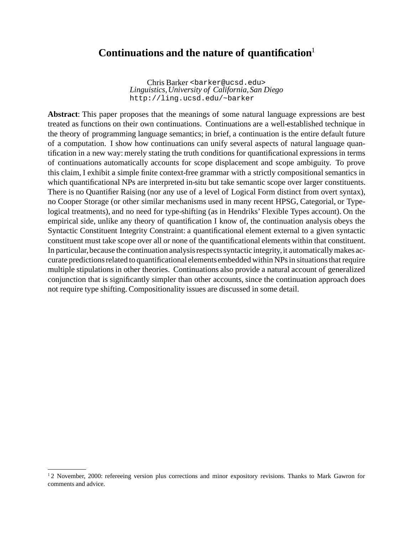# **Continuations and the nature of quantification**<sup>1</sup>

Chris Barker <barker@ucsd.edu> *Linguistics,University of California,San Diego* http://ling.ucsd.edu/~barker

**Abstract**: This paper proposes that the meanings of some natural language expressions are best treated as functions on their own continuations. Continuations are a well-established technique in the theory of programming language semantics; in brief, a continuation is the entire default future of a computation. I show how continuations can unify several aspects of natural language quantification in a new way: merely stating the truth conditions for quantificational expressions in terms of continuations automatically accounts for scope displacement and scope ambiguity. To prove this claim, I exhibit a simple finite context-free grammar with a strictly compositional semantics in which quantificational NPs are interpreted in-situ but take semantic scope over larger constituents. There is no Quantifier Raising (nor any use of a level of Logical Form distinct from overt syntax), no Cooper Storage (or other similar mechanisms used in many recent HPSG, Categorial, or Typelogical treatments), and no need for type-shifting (as in Hendriks' Flexible Types account). On the empirical side, unlike any theory of quantification I know of, the continuation analysis obeys the Syntactic Constituent Integrity Constraint: a quantificational element external to a given syntactic constituent must take scope over all or none of the quantificational elements within that constituent. In particular, because the continuation analysis respects syntactic integrity, it automatically makes accurate predictions related to quantificational elements embedded within NPs in situations that require multiple stipulations in other theories. Continuations also provide a natural account of generalized conjunction that is significantly simpler than other accounts, since the continuation approach does not require type shifting. Compositionality issues are discussed in some detail.

<sup>&</sup>lt;sup>1</sup>2 November, 2000: refereeing version plus corrections and minor expository revisions. Thanks to Mark Gawron for comments and advice.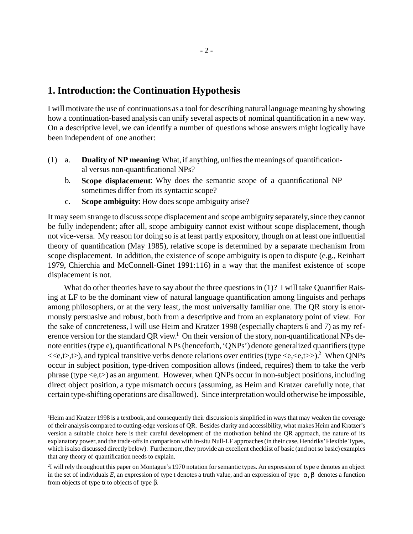# **1. Introduction:the Continuation Hypothesis**

I will motivate the use of continuations as a tool for describing natural language meaning by showing how a continuation-based analysis can unify several aspects of nominal quantification in a new way. On a descriptive level, we can identify a number of questions whose answers might logically have been independent of one another:

- **Duality of NP meaning:** What, if anything, unifies the meanings of quantificational versus non-quantificational NPs?  $(1)$  a.
	- b. **Scope displacement**: Why does the semantic scope of a quantificational NP sometimes differ from its syntactic scope?
	- c. **Scope ambiguity**: How does scope ambiguity arise?

It may seem strange to discuss scope displacement and scope ambiguity separately, since they cannot be fully independent; after all, scope ambiguity cannot exist without scope displacement, though not vice-versa. My reason for doing so is at least partly expository, though on at least one influential theory of quantification (May 1985), relative scope is determined by a separate mechanism from scope displacement. In addition, the existence of scope ambiguity is open to dispute (e.g., Reinhart 1979, Chierchia and McConnell-Ginet 1991:116) in a way that the manifest existence of scope displacement is not.

What do other theories have to say about the three questions in (1)? I will take Quantifier Raising at LF to be the dominant view of natural language quantification among linguists and perhaps among philosophers, or at the very least, the most universally familiar one. The QR story is enormously persuasive and robust, both from a descriptive and from an explanatory point of view. For the sake of concreteness, I will use Heim and Kratzer 1998 (especially chapters 6 and 7) as my reference version for the standard QR view.<sup>1</sup> On their version of the story, non-quantificational NPs denote entities (type e), quantificational NPs (henceforth, 'QNPs') denote generalized quantifiers (type  $\langle\langle e,t\rangle,t\rangle$ , and typical transitive verbs denote relations over entities (type  $\langle e,\langle e,t\rangle\rangle$ ).<sup>2</sup> When ONPs occur in subject position, type-driven composition allows (indeed, requires) them to take the verb phrase (type <e,t>) as an argument. However, when QNPs occur in non-subject positions, including direct object position, a type mismatch occurs (assuming, as Heim and Kratzer carefully note, that certain type-shifting operations are disallowed). Since interpretationwould otherwise be impossible,

<sup>&</sup>lt;sup>1</sup>Heim and Kratzer 1998 is a textbook, and consequently their discussion is simplified in ways that may weaken the coverage of their analysis compared to cutting-edge versions of QR. Besides clarity and accessibility, what makes Heim and Kratzer's version a suitable choice here is their careful development of the motivation behind the QR approach, the nature of its explanatory power, and the trade-offs in comparison with in-situ Null-LF approaches (in their case, Hendriks' Flexible Types, which is also discussed directly below). Furthermore,they provide an excellent checklist of basic (and not so basic) examples that any theory of quantification needs to explain.

<sup>&</sup>lt;sup>2</sup>I will rely throughout this paper on Montague's 1970 notation for semantic types. An expression of type e denotes an object in the set of individuals *E*, an expression of type t denotes a truth value, and an expression of type  $\langle \alpha, \beta \rangle$  denotes a function from objects of type α to objects of type β.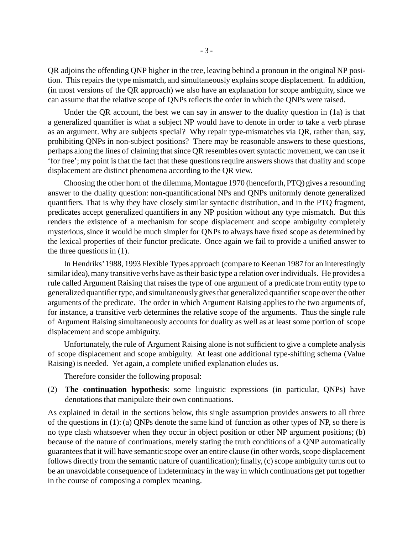QR adjoins the offending QNP higher in the tree, leaving behind a pronoun in the original NP position. This repairs the type mismatch, and simultaneously explains scope displacement. In addition, (in most versions of the QR approach) we also have an explanation for scope ambiguity, since we can assume that the relative scope of QNPs reflects the order in which the QNPs were raised.

Under the QR account, the best we can say in answer to the duality question in (1a) is that a generalized quantifier is what a subject NP would have to denote in order to take a verb phrase as an argument. Why are subjects special? Why repair type-mismatches via QR, rather than, say, prohibiting QNPs in non-subject positions? There may be reasonable answers to these questions, perhaps along the lines of claiming that since QR resembles overt syntactic movement, we can use it 'for free'; my point is that the fact that these questions require answers shows that duality and scope displacement are distinct phenomena according to the QR view.

Choosing the other horn of the dilemma, Montague 1970 (henceforth, PTQ) gives a resounding answer to the duality question: non-quantificational NPs and QNPs uniformly denote generalized quantifiers. That is why they have closely similar syntactic distribution, and in the PTQ fragment, predicates accept generalized quantifiers in any NP position without any type mismatch. But this renders the existence of a mechanism for scope displacement and scope ambiguity completely mysterious, since it would be much simpler for QNPs to always have fixed scope as determined by the lexical properties of their functor predicate. Once again we fail to provide a unified answer to the three questions in (1).

In Hendriks'1988, 1993 Flexible Types approach (compare to Keenan 1987 for an interestingly similar idea), many transitive verbs have as their basic type a relation over individuals. He provides a rule called Argument Raising that raises the type of one argument of a predicate from entity type to generalized quantifier type, and simultaneously gives that generalized quantifier scope over the other arguments of the predicate. The order in which Argument Raising applies to the two arguments of, for instance, a transitive verb determines the relative scope of the arguments. Thus the single rule of Argument Raising simultaneously accounts for duality as well as at least some portion of scope displacement and scope ambiguity.

Unfortunately, the rule of Argument Raising alone is not sufficient to give a complete analysis of scope displacement and scope ambiguity. At least one additional type-shifting schema (Value Raising) is needed. Yet again, a complete unified explanation eludes us.

Therefore consider the following proposal:

(2) **The continuation hypothesis**: some linguistic expressions (in particular, QNPs) have denotations that manipulate their own continuations.

As explained in detail in the sections below, this single assumption provides answers to all three of the questions in (1): (a) QNPs denote the same kind of function as other types of NP, so there is no type clash whatsoever when they occur in object position or other NP argument positions; (b) because of the nature of continuations, merely stating the truth conditions of a QNP automatically guarantees that it will have semantic scope over an entire clause (in other words, scope displacement follows directly from the semantic nature of quantification); finally, (c) scope ambiguity turns out to be an unavoidable consequence of indeterminacy in the way in which continuations get put together in the course of composing a complex meaning.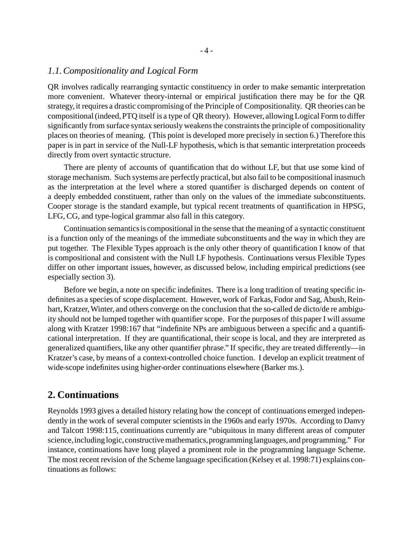#### *1.1.Compositionality and Logical Form*

QR involves radically rearranging syntactic constituency in order to make semantic interpretation more convenient. Whatever theory-internal or empirical justification there may be for the QR strategy, it requires a drastic compromising of the Principle of Compositionality. QR theories can be compositional(indeed,PTQ itself is a type of QR theory). However, allowingLogical Form to differ significantly from surface syntax seriously weakens the constraints the principle of compositionality places on theories of meaning. (This point is developed more precisely in section 6.) Therefore this paper is in part in service of the Null-LF hypothesis, which is that semantic interpretation proceeds directly from overt syntactic structure.

There are plenty of accounts of quantification that do without LF, but that use some kind of storage mechanism. Such systems are perfectly practical, but also fail to be compositional inasmuch as the interpretation at the level where a stored quantifier is discharged depends on content of a deeply embedded constituent, rather than only on the values of the immediate subconstituents. Cooper storage is the standard example, but typical recent treatments of quantification in HPSG, LFG, CG, and type-logical grammar also fall in this category.

Continuation semanticsis compositional in the sense that the meaning of a syntactic constituent is a function only of the meanings of the immediate subconstituents and the way in which they are put together. The Flexible Types approach is the only other theory of quantification I know of that is compositional and consistent with the Null LF hypothesis. Continuations versus Flexible Types differ on other important issues, however, as discussed below, including empirical predictions (see especially section 3).

Before we begin, a note on specific indefinites. There is a long tradition of treating specific indefinites as a species of scope displacement. However, work of Farkas, Fodor and Sag, Abush, Reinhart, Kratzer, Winter, and others converge on the conclusion that the so-called de dicto/de re ambiguity should not be lumped together with quantifier scope. For the purposes of this paper I will assume along with Kratzer 1998:167 that "indefinite NPs are ambiguous between a specific and a quantificational interpretation. If they are quantificational, their scope is local, and they are interpreted as generalized quantifiers, like any other quantifier phrase." If specific, they are treated differently—in Kratzer's case, by means of a context-controlled choice function. I develop an explicit treatment of wide-scope indefinites using higher-order continuations elsewhere (Barker ms.).

## **2. Continuations**

Reynolds 1993 gives a detailed history relating how the concept of continuations emerged independently in the work of several computer scientists in the 1960s and early 1970s. According to Danvy and Talcott 1998:115, continuations currently are "ubiquitous in many different areas of computer science, including logic, constructive mathematics, programming languages, and programming." For instance, continuations have long played a prominent role in the programming language Scheme. The most recent revision of the Scheme language specification (Kelsey et al. 1998:71) explains continuations as follows: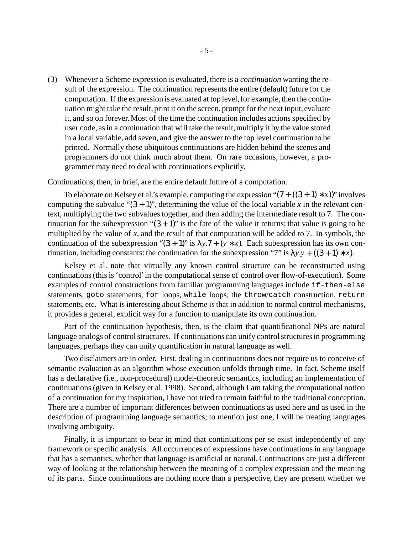Whenever a Scheme expression is evaluated, there is a *continuation* wanting the re-(3) sult of the expression. The continuation represents the entire (default) future for the computation. If the expression is evaluated at top level, for example, then the continuation might take the result, print it on the screen, prompt for the next input, evaluate it, and so on forever. Most of the time the continuation includes actions specified by user code, as in a continuation that will take the result, multiply it by the value stored in a local variable, add seven, and give the answer to the top level continuation to be printed. Normally these ubiquitous continuations are hidden behind the scenes and programmers do not think much about them. On rare occasions, however, a programmer may need to deal with continuations explicitly.

Continuations, then, in brief, are the entire default future of a computation.

To elaborate on Kelsey et al.'s example, computing the expression " $(7 + ((3 + 1) * x))$ " involves computing the subvalue " $(3 + 1)$ ", determining the value of the local variable *x* in the relevant context, multiplying the two subvalues together, and then adding the intermediate result to 7. The continuation for the subexpression " $(3 + 1)$ " is the fate of the value it returns: that value is going to be multiplied by the value of *x*, and the result of that computation will be added to 7. In symbols, the continuation of the subexpression " $(3 + 1)$ " is  $\lambda y.7 + (y * x)$ . Each subexpression has its own continuation, including constants: the continuation for the subexpression "7" is  $\lambda y. y + ((3 + 1) * x)$ .

Kelsey et al. note that virtually any known control structure can be reconstructed using continuations (this is 'control' in the computational sense of control over flow-of-execution). Some examples of control constructions from familiar programming languages include if-then-else statements, goto statements, for loops, while loops, the throw/catch construction, return statements, etc. What is interesting about Scheme is that in addition to normal control mechanisms, it provides a general, explicit way for a function to manipulate its own continuation.

Part of the continuation hypothesis, then, is the claim that quantificational NPs are natural language analogs of control structures. If continuations can unify control structures in programming languages, perhaps they can unify quantification in natural language as well.

Two disclaimers are in order. First, dealing in continuations does not require us to conceive of semantic evaluation as an algorithm whose execution unfolds through time. In fact, Scheme itself has a declarative (i.e., non-procedural) model-theoretic semantics, including an implementation of continuations(given in Kelsey et al. 1998). Second, although I am taking the computational notion of a continuation for my inspiration, I have not tried to remain faithful to the traditional conception. There are a number of important differences between continuations as used here and as used in the description of programming language semantics; to mention just one, I will be treating languages involving ambiguity.

Finally, it is important to bear in mind that continuations per se exist independently of any framework or specific analysis. All occurrences of expressions have continuationsin any language that has a semantics, whether that language is artificial or natural. Continuations are just a different way of looking at the relationship between the meaning of a complex expression and the meaning of its parts. Since continuations are nothing more than a perspective, they are present whether we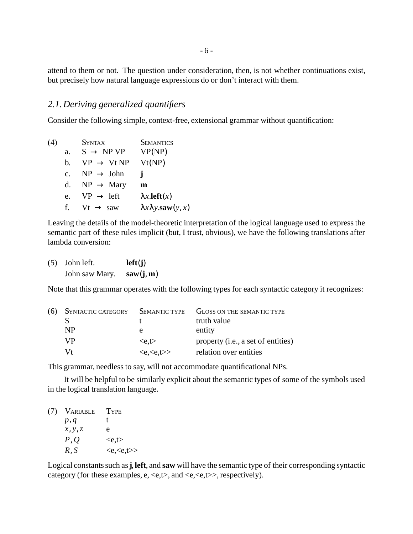attend to them or not. The question under consideration, then, is not whether continuations exist, but precisely how natural language expressions do or don't interact with them.

## *2.1.Deriving generalized quantifiers*

Consider the following simple, context-free, extensional grammar without quantification:

| (4) |             | <b>SYNTAX</b>          | <b>SEMANTICS</b>                          |
|-----|-------------|------------------------|-------------------------------------------|
|     | a.          | $S \rightarrow NP VP$  | VP(NP)                                    |
|     | b.          | $VP \rightarrow Vt NP$ | Vt(NP)                                    |
|     | $c_{\cdot}$ | $NP \rightarrow John$  | Ť                                         |
|     | d.          | $NP \rightarrow Mary$  | m                                         |
|     | e.          | $VP \rightarrow left$  | $\lambda x$ <b>.left</b> $(x)$            |
|     | f.          | $Vt \rightarrow saw$   | $\lambda x \lambda y$ <b>saw</b> $(y, x)$ |

Leaving the details of the model-theoretic interpretation of the logical language used to express the semantic part of these rules implicit (but, I trust, obvious), we have the following translations after lambda conversion:

| $(5)$ John left. | left(j)   |
|------------------|-----------|
| John saw Mary.   | saw(j, m) |

Note that this grammar operates with the following types for each syntactic category it recognizes:

| (6) | <b>SYNTACTIC CATEGORY</b> | <b>SEMANTIC TYPE</b>                      | GLOSS ON THE SEMANTIC TYPE         |
|-----|---------------------------|-------------------------------------------|------------------------------------|
|     |                           |                                           | truth value                        |
|     | <b>NP</b>                 | е                                         | entity                             |
|     | VP                        | $\langle e,t \rangle$                     | property (i.e., a set of entities) |
|     | Vt                        | $\langle e, \langle e, t \rangle \rangle$ | relation over entities             |

This grammar, needless to say, will not accommodate quantificational NPs.

It will be helpful to be similarly explicit about the semantic types of some of the symbols used in the logical translation language.

| (7) VARIABLE | <b>TYPE</b>                               |
|--------------|-------------------------------------------|
| p, q         | t.                                        |
| x, y, z      | e                                         |
| P, Q         | $\langle e,t \rangle$                     |
| R, S         | $\langle e, \langle e, t \rangle \rangle$ |

Logical constants such as **j**, left, and saw will have the semantic type of their corresponding syntactic category (for these examples, e,  $\langle e, t \rangle$ , and  $\langle e, \langle e, t \rangle$ , respectively).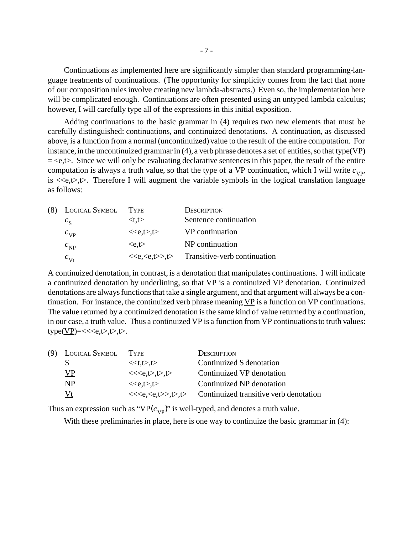Continuations as implemented here are significantly simpler than standard programming-language treatments of continuations. (The opportunity for simplicity comes from the fact that none of our composition rulesinvolve creating new lambda-abstracts.) Even so, the implementation here will be complicated enough. Continuations are often presented using an untyped lambda calculus; however, I will carefully type all of the expressions in this initial exposition.

Adding continuations to the basic grammar in (4) requires two new elements that must be carefully distinguished: continuations, and continuized denotations. A continuation, as discussed above, is a function from a normal (uncontinuized) value to the result of the entire computation. For instance, in the uncontinuized grammar in  $(4)$ , a verb phrase denotes a set of entities, so that type(VP)  $=$  <e,t>. Since we will only be evaluating declarative sentences in this paper, the result of the entire computation is always a truth value, so that the type of a VP continuation, which I will write  $c_{VP}$ , is  $\langle\langle e,t\rangle,t\rangle$ . Therefore I will augment the variable symbols in the logical translation language as follows:

| (8) | <b>LOGICAL SYMBOL</b> | TYPE                  | <b>DESCRIPTION</b>                     |
|-----|-----------------------|-----------------------|----------------------------------------|
|     | $c_{\rm g}$           | $lt$ t.t $>$          | Sentence continuation                  |
|     | $c_{\rm VP}$          | < <e,t>,t&gt;</e,t>   | VP continuation                        |
|     | $c_{\rm NP}$          | $\langle e,t \rangle$ | NP continuation                        |
|     | $c_{\rm Vt}$          |                       | $<>, t>>$ Transitive-verb continuation |

A continuized denotation, in contrast, is a denotation that manipulates continuations. I will indicate a continuized denotation by underlining, so that  $VP$  is a continuized VP denotation. Continuized denotations are always functions that take a single argument, and that argument will always be a continuation. For instance, the continuized verb phrase meaning VP is a function on VP continuations. The value returned by a continuized denotation is the same kind of value returned by a continuation, in our case, a truth value. Thus a continuized VP is a function from VP continuations to truth values:  $type(\underline{VP}) = \langle \langle e,t \rangle, t \rangle, t \rangle.$ 

| (9) LOGICAL SYMBOL | 'I YPE                                        | <b>DESCRIPTION</b>                     |
|--------------------|-----------------------------------------------|----------------------------------------|
| S                  | < <t,t>,t&gt;</t,t>                           | Continuized S denotation               |
| <b>VP</b>          | < <e,t>,t&gt;,t&gt;</e,t>                     | Continuized VP denotation              |
| NP                 | < <e,t>0</e,t>                                | Continuized NP denotation              |
| Vt                 | < <e,<e,t>&gt;, t&gt;&gt;, t&gt;&gt;</e,<e,t> | Continuized transitive verb denotation |

Thus an expression such as " $\underline{VP}(c_{VP})$ " is well-typed, and denotes a truth value.

With these preliminaries in place, here is one way to continuize the basic grammar in (4):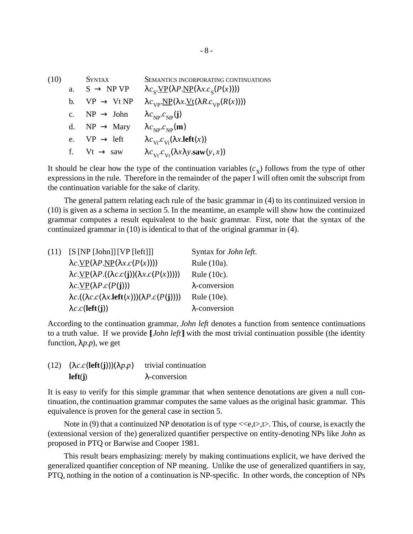SYNTAX SEMANTICS INCORPORATING CONTINUATIONS a.  $S \rightarrow NP VP$  $\mathcal{S}$ **.**<u>VP</u>(λ*P*.<u>NP</u>(λ*x*.c<sub>S</sub>(*P*(*x*)))) b.  $VP \rightarrow Vt NP \quad \lambda c_{VP} \underline{NP}(\lambda x. \underline{Vt}(\lambda R.c_{VP}(R(x))))$ c.  $NP \rightarrow John \qquad \lambda c_{NP} c_{NP}(\mathbf{j})$ d. NP  $\rightarrow$  Mary  $\lambda c_{NP}^{\prime} c_{NP}^{\prime}(\mathbf{m})$ e.  $VP \rightarrow left$  $\sum_{V_i} (\lambda x.\text{left}(x))$ f. Vt  $\rightarrow$  saw  $\lambda c_{\nu t} c_{\nu t}(\lambda x \lambda y.\text{saw}(y, x))$ (10)

It should be clear how the type of the continuation variables  $(c_X)$  follows from the type of other expressions in the rule. Therefore in the remainder of the paper I will often omit the subscript from the continuation variable for the sake of clarity.

The general pattern relating each rule of the basic grammar in (4) to its continuized version in (10) is given as a schema in section 5. In the meantime, an example will show how the continuized grammar computes a result equivalent to the basic grammar. First, note that the syntax of the continuized grammar in (10) is identical to that of the original grammar in (4).

| (11) | [S[NP [John]] [VP [left]]]                                                           | Syntax for John left. |
|------|--------------------------------------------------------------------------------------|-----------------------|
|      | $\lambda c.\underline{VP}(\lambda P.\underline{NP}(\lambda x.c(P(x))))$              | Rule $(10a)$ .        |
|      | $\lambda c.\underline{VP}(\lambda P.((\lambda c.c(j))(\lambda x.c(P(x))))$           | Rule $(10c)$ .        |
|      | $\lambda c.\underline{VP}(\lambda P.c(P(j)))$                                        | $\lambda$ -conversion |
|      | $\lambda c.((\lambda c.c(\lambda x. \mathbf{left}(x)))(\lambda P.c(P(\mathbf{j}))))$ | Rule $(10e)$ .        |
|      | $\lambda c.c$ (left(j))                                                              | $\lambda$ -conversion |

According to the continuation grammar, *John left* denotes a function from sentence continuations to a truth value. If we provide [ *John left*] with the most trivial continuation possible (the identity function,  $\lambda p.p$ , we get

| (12) $(\lambda c.c(\text{left}(j)))(\lambda p.p)$ | trivial continuation  |  |
|---------------------------------------------------|-----------------------|--|
| left(i)                                           | $\lambda$ -conversion |  |

It is easy to verify for this simple grammar that when sentence denotations are given a null continuation, the continuation grammar computes the same values as the original basic grammar. This equivalence is proven for the general case in section 5.

Note in (9) that a continuized NP denotation is of type  $\langle\langle e,t\rangle, \rangle$ . This, of course, is exactly the (extensional version of the) generalized quantifier perspective on entity-denoting NPs like *John* as proposed in PTQ or Barwise and Cooper 1981.

This result bears emphasizing: merely by making continuations explicit, we have derived the generalized quantifier conception of NP meaning. Unlike the use of generalized quantifiers in say, PTQ, nothing in the notion of a continuation is NP-specific. In other words, the conception of NPs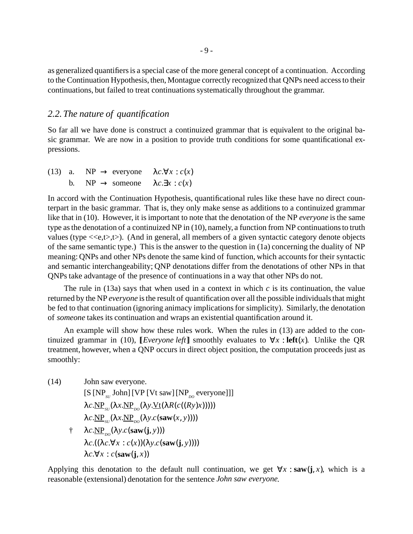as generalized quantifiersis a special case of the more general concept of a continuation. According to the Continuation Hypothesis, then, Montague correctly recognized that QNPs need accessto their continuations, but failed to treat continuations systematically throughout the grammar.

### *2.2. The nature of quantification*

So far all we have done is construct a continuized grammar that is equivalent to the original basic grammar. We are now in a position to provide truth conditions for some quantificational expressions.

|  | (13) a. NP $\rightarrow$ everyone $\lambda c.\forall x : c(x)$ |  |
|--|----------------------------------------------------------------|--|
|  | b. NP $\rightarrow$ someone $\lambda c.\exists x : c(x)$       |  |

In accord with the Continuation Hypothesis, quantificational rules like these have no direct counterpart in the basic grammar. That is, they only make sense as additions to a continuized grammar like that in (10). However, it is important to note that the denotation of the NP *everyone* is the same type asthe denotation of a continuized NP in (10), namely, a function from NP continuationsto truth values (type  $\langle\langle e,t\rangle,t\rangle$ ). (And in general, all members of a given syntactic category denote objects of the same semantic type.) This is the answer to the question in (1a) concerning the duality of NP meaning: QNPs and other NPs denote the same kind of function, which accounts for their syntactic and semantic interchangeability; QNP denotations differ from the denotations of other NPs in that QNPs take advantage of the presence of continuationsin a way that other NPs do not.

The rule in (13a) says that when used in a context in which  $c$  is its continuation, the value returned by the NP *everyone* is the result of quantification over all the possible individuals that might be fed to that continuation (ignoring animacy implications for simplicity). Similarly, the denotation of *someone* takes its continuation and wraps an existential quantification around it.

An example will show how these rules work. When the rules in (13) are added to the continuized grammar in (10), [*Everyone left*] smoothly evaluates to  $\forall x$  : **left**(*x*). Unlike the QR treatment, however, when a QNP occurs in direct object position, the computation proceeds just as smoothly:

John saw everyone.  $[S[NP_{SU}^{\dagger}][VP[Vt saw][NP_{D0}^{\dagger}]]]$ λc.<u>NP<sub>sυ</sub>(λx.NP<sub>po</sub>(λy.<u>Vt</u>(λR(c((Ry)x)))))</u> λc.<u>NP<sub>SU</sub></u>(λx.<u>NP<sub>DO</sub></u>(λy.c(**saw**(x, y)))) †  $\lambda c.\underline{\text{NP}}_{po}(\lambda y.c(\textbf{saw}(\textbf{j}, y)))$  $λc.((λc.∀x : c(x)) (λy.c(saw(j, y))))$  $λc.∀x : c(**saw**(**j**, x))$ (14)

Applying this denotation to the default null continuation, we get  $\forall x : \textbf{sav}(i, x)$ , which is a reasonable (extensional) denotation for the sentence *John saw everyone*.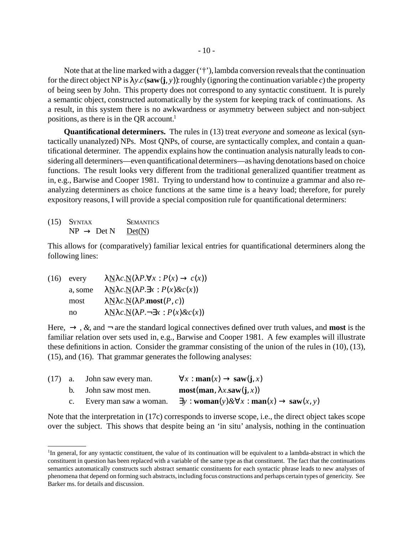Note that at the line marked with a dagger  $(4)$ , lambda conversion reveals that the continuation for the direct object NP is  $\lambda y.c$ (saw(j, y)): roughly (ignoring the continuation variable *c*) the property of being seen by John. This property does not correspond to any syntactic constituent. It is purely a semantic object, constructed automatically by the system for keeping track of continuations. As a result, in this system there is no awkwardness or asymmetry between subject and non-subject positions, as there is in the QR account.<sup>1</sup>

**Quantificational determiners.** The rules in (13) treat *everyone* and *someone* as lexical (syntactically unanalyzed) NPs. Most QNPs, of course, are syntactically complex, and contain a quantificational determiner. The appendix explains how the continuation analysis naturally leads to considering all determiners—even quantificational determiners—as having denotations based on choice functions. The result looks very different from the traditional generalized quantifier treatment as in, e.g., Barwise and Cooper 1981. Trying to understand how to continuize a grammar and also reanalyzing determiners as choice functions at the same time is a heavy load; therefore, for purely expository reasons, I will provide a special composition rule for quantificational determiners:

**SEMANTICS**  $NP \rightarrow Det N$  Det(N)  $(15)$  SYNTAX

This allows for (comparatively) familiar lexical entries for quantificational determiners along the following lines:

 $λ$ N $λc$ .N( $λP.∀x : P(x) → c(x)$ ) a, some  $\lambda N\lambda c.N(\lambda P.\exists x : P(x)\&c(x))$ most  $\lambda N\lambda c.N(\lambda P \text{.} \text{most}(P, c))$ no λNλ*c.*N(λ*P.*¬∃*x* : *P*(*x*)*&c*(*x*))  $(16)$  every

Here,  $\rightarrow$ , &, and  $\rightarrow$  are the standard logical connectives defined over truth values, and **most** is the familiar relation over sets used in, e.g., Barwise and Cooper 1981. A few examples will illustrate these definitions in action. Consider the grammar consisting of the union of the rules in (10), (13), (15), and (16). That grammar generates the following analyses:

|  | $(17)$ a. John saw every man. | $\forall x : \textbf{man}(x) \rightarrow \textbf{ saw}(i, x)$                                  |
|--|-------------------------------|------------------------------------------------------------------------------------------------|
|  | b. John saw most men.         | $\text{most}(\text{man}, \lambda x.\text{sav}(i, x))$                                          |
|  | c. Every man saw a woman.     | $\exists y : \mathbf{woman}(y) \& \forall x : \mathbf{man}(x) \rightarrow \mathbf{ saw}(x, y)$ |

Note that the interpretation in (17c) corresponds to inverse scope, i.e., the direct object takes scope over the subject. This shows that despite being an 'in situ' analysis, nothing in the continuation

<sup>&</sup>lt;sup>1</sup>In general, for any syntactic constituent, the value of its continuation will be equivalent to a lambda-abstract in which the constituent in question has been replaced with a variable of the same type asthat constituent. The fact that the continuations semantics automatically constructs such abstract semantic constituents for each syntactic phrase leads to new analyses of phenomena that depend on forming such abstracts,including focus constructions and perhaps certain types of genericity. See Barker ms. for details and discussion.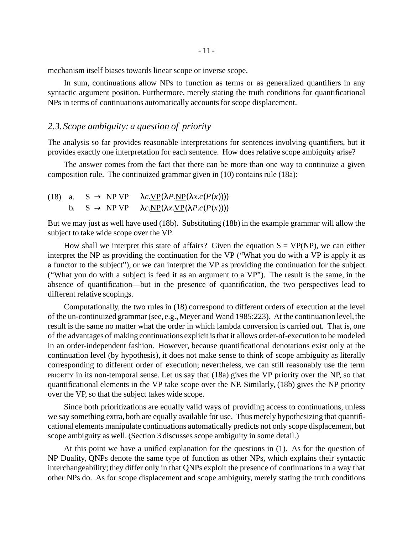mechanism itself biases towards linear scope or inverse scope.

In sum, continuations allow NPs to function as terms or as generalized quantifiers in any syntactic argument position. Furthermore, merely stating the truth conditions for quantificational NPs in terms of continuations automatically accounts for scope displacement.

# *2.3. Scope ambiguity: a question of priority*

The analysis so far provides reasonable interpretations for sentences involving quantifiers, but it provides exactly one interpretation for each sentence. How does relative scope ambiguity arise?

The answer comes from the fact that there can be more than one way to continuize a given composition rule. The continuized grammar given in (10) contains rule (18a):

|  | (18) a. $S \rightarrow NP VP$ $\lambda c.\underline{VP}(\lambda P.\underline{NP}(\lambda x.c(P(x))))$ |
|--|-------------------------------------------------------------------------------------------------------|
|  | b. $S \rightarrow NP VP \quad \lambda c.\underline{NP}(\lambda x.\underline{VP}(\lambda P.c(P(x))))$  |

But we may just as well have used (18b). Substituting (18b) in the example grammar will allow the subject to take wide scope over the VP.

How shall we interpret this state of affairs? Given the equation  $S = VP(NP)$ , we can either interpret the NP as providing the continuation for the VP ("What you do with a VP is apply it as a functor to the subject"), or we can interpret the VP as providing the continuation for the subject ("What you do with a subject is feed it as an argument to a VP"). The result is the same, in the absence of quantification—but in the presence of quantification, the two perspectives lead to different relative scopings.

Computationally, the two rules in (18) correspond to different orders of execution at the level of the un-continuized grammar (see, e.g., Meyer and Wand 1985:223). At the continuation level, the result is the same no matter what the order in which lambda conversion is carried out. That is, one of the advantages of making continuations explicit isthat it allows order-of-execution to be modeled in an order-independent fashion. However, because quantificational denotations exist only at the continuation level (by hypothesis), it does not make sense to think of scope ambiguity as literally corresponding to different order of execution; nevertheless, we can still reasonably use the term PRIORITY in its non-temporal sense. Let us say that (18a) gives the VP priority over the NP, so that quantificational elements in the VP take scope over the NP. Similarly, (18b) gives the NP priority over the VP, so that the subject takes wide scope.

Since both prioritizations are equally valid ways of providing access to continuations, unless we say something extra, both are equally available for use. Thus merely hypothesizing that quantificational elements manipulate continuations automatically predicts not only scope displacement, but scope ambiguity as well. (Section 3 discusses scope ambiguity in some detail.)

At this point we have a unified explanation for the questions in (1). As for the question of NP Duality, QNPs denote the same type of function as other NPs, which explains their syntactic interchangeability; they differ only in that QNPs exploit the presence of continuations in a way that other NPs do. As for scope displacement and scope ambiguity, merely stating the truth conditions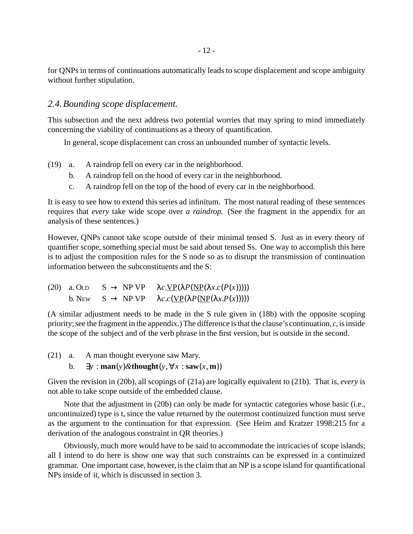for QNPs in terms of continuations automatically leads to scope displacement and scope ambiguity without further stipulation.

## *2.4.Bounding scope displacement.*

This subsection and the next address two potential worries that may spring to mind immediately concerning the viability of continuations as a theory of quantification.

In general, scope displacement can cross an unbounded number of syntactic levels.

- a. A raindrop fell on every car in the neighborhood. (19)
	- b. A raindrop fell on the hood of every car in the neighborhood.
	- c. A raindrop fell on the top of the hood of every car in the neighborhood.

It is easy to see how to extend this series ad infinitum. The most natural reading of these sentences requires that *every* take wide scope over *a raindrop*. (See the fragment in the appendix for an analysis of these sentences.)

However, QNPs cannot take scope outside of their minimal tensed S. Just as in every theory of quantifier scope, something special must be said about tensed Ss. One way to accomplish this here is to adjust the composition rules for the S node so as to disrupt the transmission of continuation information between the subconstituents and the S:

```
(20) a. OLD S \rightarrow NP VP \ \lambda c.\underline{VP}(\lambda P(\underline{NP}(\lambda x.c(P(x))))))b. New S \rightarrow NP VP \ \lambda c.c(VP(\lambda P(NP(\lambda x.P(x))))))
```
(A similar adjustment needs to be made in the S rule given in (18b) with the opposite scoping priority; see the fragment in the appendix.) The difference is that the clause's continuation,  $c$ , is inside the scope of the subject and of the verb phrase in the first version, but is outside in the second.

A man thought everyone saw Mary. **b.**  $\exists y : \textbf{man}(y) \& \textbf{though} \mathbf{t}(y, \forall x : \textbf{ saw}(x, \textbf{m}))$  $(21)$  a.

Given the revision in (20b), all scopings of (21a) are logically equivalent to (21b). That is, *every* is not able to take scope outside of the embedded clause.

Note that the adjustment in (20b) can only be made for syntactic categories whose basic (i.e., uncontinuized) type is t, since the value returned by the outermost continuized function must serve as the argument to the continuation for that expression. (See Heim and Kratzer 1998:215 for a derivation of the analogous constraint in QR theories.)

Obviously, much more would have to be said to accommodate the intricacies of scope islands; all I intend to do here is show one way that such constraints can be expressed in a continuized grammar. One important case, however, isthe claim that an NP is a scope island for quantificational NPs inside of it, which is discussed in section 3.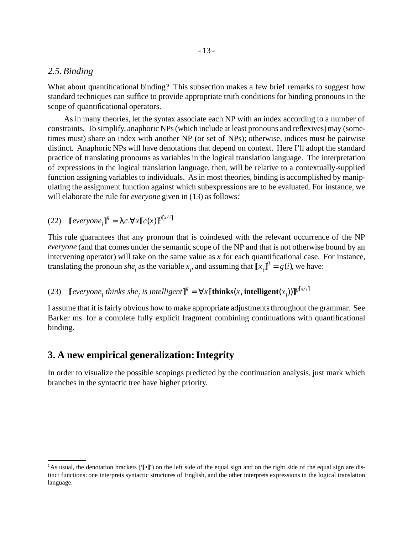#### *2.5.Binding*

What about quantificational binding? This subsection makes a few brief remarks to suggest how standard techniques can suffice to provide appropriate truth conditions for binding pronouns in the scope of quantificational operators.

As in many theories, let the syntax associate each NP with an index according to a number of constraints. To simplify, anaphoric NPs(which include at least pronouns and reflexives)may (sometimes must) share an index with another NP (or set of NPs); otherwise, indices must be pairwise distinct. Anaphoric NPs will have denotations that depend on context. Here I'll adopt the standard practice of translating pronouns as variables in the logical translation language. The interpretation of expressions in the logical translation language, then, will be relative to a contextually-supplied function assigning variables to individuals. As in most theories, binding is accomplished by manipulating the assignment function against which subexpressions are to be evaluated. For instance, we will elaborate the rule for *everyone* given in (13) as follows:<sup>1</sup>

(22)  $[everyone_i]^g = \lambda c. \forall x [c(x)]^{g[x/i]}$ 

This rule guarantees that any pronoun that is coindexed with the relevant occurrence of the NP *everyone* (and that comes under the semantic scope of the NP and that is not otherwise bound by an intervening operator) will take on the same value as *x* for each quantificational case. For instance, translating the pronoun *she<sub>i</sub>* as the variable  $x_i$ , and assuming that  $\llbracket x_i \rrbracket^g = g(i)$ , we have:

#### $\llbracket$  *everyone<sub>i</sub>* thinks she<sub>*i*</sub> is intelligent $\rrbracket^g = \forall x \llbracket \textbf{thinks}(x, \textbf{intelligent}(x_i)) \rrbracket^{g[x/i]}$ (23)

I assume that it is fairly obvious how to make appropriate adjustments throughout the grammar. See Barker ms. for a complete fully explicit fragment combining continuations with quantificational binding.

## **3. A new empirical generalization:Integrity**

In order to visualize the possible scopings predicted by the continuation analysis, just mark which branches in the syntactic tree have higher priority.

<sup>&</sup>lt;sup>1</sup>As usual, the denotation brackets ('[•]') on the left side of the equal sign and on the right side of the equal sign are distinct functions: one interprets syntactic structures of English, and the other interprets expressions in the logical translation language.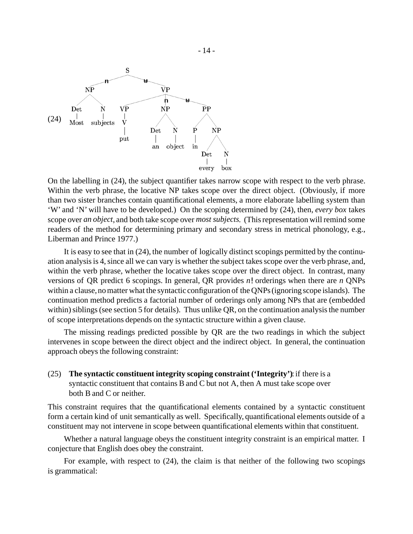

On the labelling in (24), the subject quantifier takes narrow scope with respect to the verb phrase. Within the verb phrase, the locative NP takes scope over the direct object. (Obviously, if more than two sister branches contain quantificational elements, a more elaborate labelling system than 'W' and 'N' will have to be developed.) On the scoping determined by (24), then, *every box* takes scope over *an object*, and both take scope over *most subjects*. (Thisrepresentation will remind some readers of the method for determining primary and secondary stress in metrical phonology, e.g., Liberman and Prince 1977.)

It is easy to see that in (24), the number of logically distinct scopings permitted by the continuation analysis is 4, since all we can vary is whether the subject takes scope over the verb phrase, and, within the verb phrase, whether the locative takes scope over the direct object. In contrast, many versions of QR predict 6 scopings. In general, QR provides *n*! orderings when there are *n* QNPs within a clause, no matter what the syntactic configuration of the QNPs (ignoring scope islands). The continuation method predicts a factorial number of orderings only among NPs that are (embedded within) siblings (see section 5 for details). Thus unlike QR, on the continuation analysis the number of scope interpretations depends on the syntactic structure within a given clause.

The missing readings predicted possible by QR are the two readings in which the subject intervenes in scope between the direct object and the indirect object. In general, the continuation approach obeys the following constraint:

**The syntactic constituent integrity scoping constraint ('Integrity')**:if there is a syntactic constituent that contains Band C but not A, then A must take scope over both B and C or neither. (25)

This constraint requires that the quantificational elements contained by a syntactic constituent form a certain kind of unit semantically as well. Specifically, quantificational elements outside of a constituent may not intervene in scope between quantificational elements within that constituent.

Whether a natural language obeys the constituent integrity constraint is an empirical matter. I conjecture that English does obey the constraint.

For example, with respect to (24), the claim is that neither of the following two scopings is grammatical: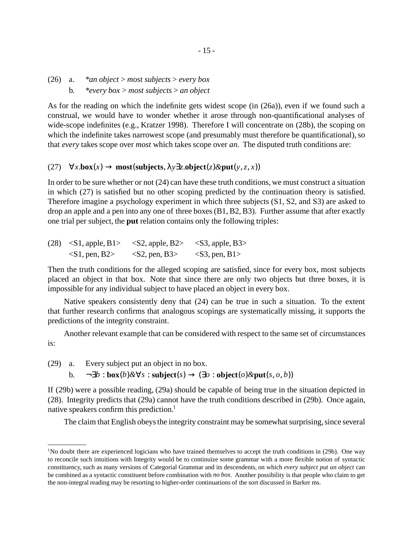#### a. \**an object* > *most subjects* > *every box* b. \**every box* > *most subjects* > *an object*  $(26)$  a.

As for the reading on which the indefinite gets widest scope (in (26a)), even if we found such a construal, we would have to wonder whether it arose through non-quantificational analyses of wide-scope indefinites (e.g., Kratzer 1998). Therefore I will concentrate on (28b), the scoping on which the indefinite takes narrowest scope (and presumably must therefore be quantificational), so that *every* takes scope over *most* which takes scope over *an*. The disputed truth conditions are:

### (27) ∀*x.***box**(*x*) → **most**(**subjects**, λ*y*∃*z.***object**(*z*)*&***put**(*y*, *z*, *x*))

In order to be sure whether or not (24) can have these truth conditions, we must construct a situation in which (27) is satisfied but no other scoping predicted by the continuation theory is satisfied. Therefore imagine a psychology experiment in which three subjects (S1, S2, and S3) are asked to drop an apple and a pen into any one of three boxes (B1, B2, B3). Further assume that after exactly one trial per subject, the **put** relation contains only the following triples:

| (28) | $\langle S1, \text{apple}, B1 \rangle$ | $\langle$ S2, apple, B2 $>$ | $\langle$ S3, apple, B3> |  |
|------|----------------------------------------|-----------------------------|--------------------------|--|
|      | $\langle S1, pen, B2 \rangle$          | $\langle$ S2, pen, B3>      | $<$ S3, pen, B1>         |  |

Then the truth conditions for the alleged scoping are satisfied, since for every box, most subjects placed an object in that box. Note that since there are only two objects but three boxes, it is impossible for any individual subject to have placed an object in every box.

Native speakers consistently deny that (24) can be true in such a situation. To the extent that further research confirms that analogous scopings are systematically missing, it supports the predictions of the integrity constraint.

Another relevant example that can be considered with respect to the same set of circumstances is:

Every subject put an object in no box.  $(29)$  a.

b. ¬∃*b* : **box**(*b*)*&*∀*s* : **subject**(*s*) → (∃*o* : **object**(*o*)*&***put**(*s*, *o*, *b*))

If (29b) were a possible reading, (29a) should be capable of being true in the situation depicted in (28). Integrity predicts that (29a) cannot have the truth conditions described in (29b). Once again, native speakers confirm this prediction.<sup>1</sup>

The claim that English obeys the integrity constraint may be somewhat surprising, since several

<sup>1</sup>No doubt there are experienced logicians who have trained themselves to accept the truth conditions in (29b). One way to reconcile such intuitions with Integrity would be to continuize some grammar with a more flexible notion of syntactic constituency, such as many versions of Categorial Grammar and its descendents, on which *every subject put an object* can be combined as a syntactic constituent before combination with *no box*. Another possibility is that people who claim to get the non-integral reading may be resorting to higher-order continuations of the sort discussed in Barker ms.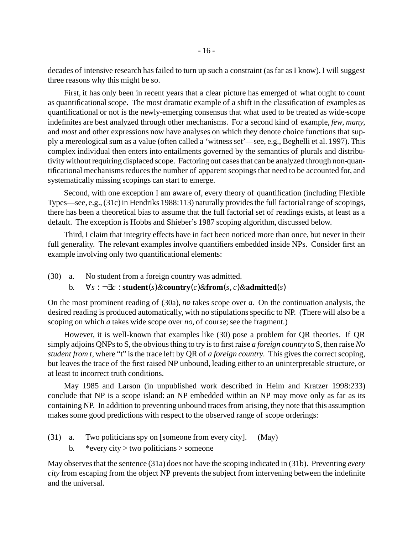decades of intensive research has failed to turn up such a constraint (asfar as I know).I will suggest three reasons why this might be so.

First, it has only been in recent years that a clear picture has emerged of what ought to count as quantificational scope. The most dramatic example of a shift in the classification of examples as quantificational or not is the newly-emerging consensus that what used to be treated as wide-scope indefinites are best analyzed through other mechanisms. For a second kind of example, *few*, *many*, and *most* and other expressions now have analyses on which they denote choice functions that supply a mereological sum as a value (often called a 'witnessset'—see, e.g., Beghelli et al. 1997). This complex individual then enters into entailments governed by the semantics of plurals and distributivity without requiring displaced scope. Factoring out cases that can be analyzed through non-quantificational mechanisms reduces the number of apparent scopings that need to be accounted for, and systematically missing scopings can start to emerge.

Second, with one exception I am aware of, every theory of quantification (including Flexible Types—see, e.g., (31c) in Hendriks 1988:113) naturally provides the full factorial range of scopings, there has been a theoretical bias to assume that the full factorial set of readings exists, at least as a default. The exception is Hobbs and Shieber's 1987 scoping algorithm, discussed below.

Third, I claim that integrity effects have in fact been noticed more than once, but never in their full generality. The relevant examples involve quantifiers embedded inside NPs. Consider first an example involving only two quantificational elements:

- No student from a foreign country was admitted.  $(30)$  a.
	- b. ∀*s* : ¬∃*c* : **student**(*s*)*&***country**(*c*)*&***from**(*s*, *c*)*&***admitted**(*s*)

On the most prominent reading of (30a), *no* takes scope over *a*. On the continuation analysis, the desired reading is produced automatically, with no stipulations specific to NP. (There will also be a scoping on which *a* takes wide scope over *no*, of course; see the fragment.)

However, it is well-known that examples like (30) pose a problem for QR theories. If QR simply adjoins QNPsto S, the obviousthing to try isto first raise *a foreign country* to S, then raise *No student from t*, where "t" is the trace left by QR of *a foreign country*. This gives the correct scoping, but leaves the trace of the first raised NP unbound, leading either to an uninterpretable structure, or at least to incorrect truth conditions.

May 1985 and Larson (in unpublished work described in Heim and Kratzer 1998:233) conclude that NP is a scope island: an NP embedded within an NP may move only as far as its containing NP. In addition to preventing unbound traces from arising, they note that this assumption makes some good predictions with respect to the observed range of scope orderings:

- Two politicians spy on [someone from every city]. (May) (31)
	- b. \* every city  $>$  two politicians  $>$  someone

May observesthat the sentence (31a) does not have the scoping indicated in (31b). Preventing *every city* from escaping from the object NP prevents the subject from intervening between the indefinite and the universal.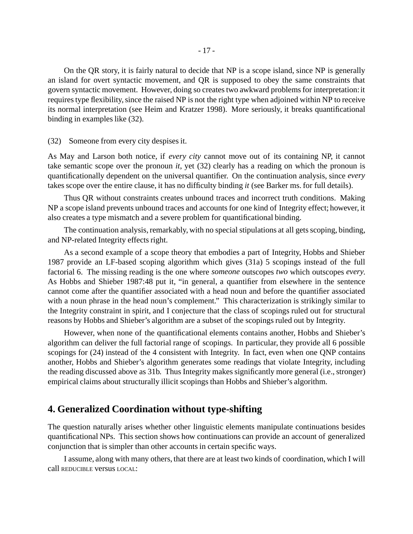On the QR story, it is fairly natural to decide that NP is a scope island, since NP is generally an island for overt syntactic movement, and QR is supposed to obey the same constraints that govern syntactic movement. However, doing so creates two awkward problems for interpretation: it requires type flexibility, since the raised NP is not the right type when adjoined within NP to receive its normal interpretation (see Heim and Kratzer 1998). More seriously, it breaks quantificational binding in examples like (32).

#### (32) Someone from every city despises it.

As May and Larson both notice, if *every city* cannot move out of its containing NP, it cannot take semantic scope over the pronoun *it*, yet (32) clearly has a reading on which the pronoun is quantificationally dependent on the universal quantifier. On the continuation analysis, since *every* takes scope over the entire clause, it has no difficulty binding *it* (see Barker ms. for full details).

Thus QR without constraints creates unbound traces and incorrect truth conditions. Making NP a scope island prevents unbound traces and accounts for one kind of Integrity effect; however, it also creates a type mismatch and a severe problem for quantificational binding.

The continuation analysis, remarkably, with no special stipulations at all gets scoping, binding, and NP-related Integrity effects right.

As a second example of a scope theory that embodies a part of Integrity, Hobbs and Shieber 1987 provide an LF-based scoping algorithm which gives (31a) 5 scopings instead of the full factorial 6. The missing reading is the one where *someone* outscopes *two* which outscopes *every*. As Hobbs and Shieber 1987:48 put it, "in general, a quantifier from elsewhere in the sentence cannot come after the quantifier associated with a head noun and before the quantifier associated with a noun phrase in the head noun's complement." This characterization is strikingly similar to the Integrity constraint in spirit, and I conjecture that the class of scopings ruled out for structural reasons by Hobbs and Shieber's algorithm are a subset of the scopings ruled out by Integrity.

However, when none of the quantificational elements contains another, Hobbs and Shieber's algorithm can deliver the full factorial range of scopings. In particular, they provide all 6 possible scopings for (24) instead of the 4 consistent with Integrity. In fact, even when one QNP contains another, Hobbs and Shieber's algorithm generates some readings that violate Integrity, including the reading discussed above as 31b. Thus Integrity makes significantly more general (i.e., stronger) empirical claims about structurally illicit scopings than Hobbs and Shieber's algorithm.

## **4. Generalized Coordination without type-shifting**

The question naturally arises whether other linguistic elements manipulate continuations besides quantificational NPs. This section shows how continuations can provide an account of generalized conjunction that is simpler than other accounts in certain specific ways.

I assume, along with many others, that there are at least two kinds of coordination, which I will call REDUCIBLE versus LOCAL: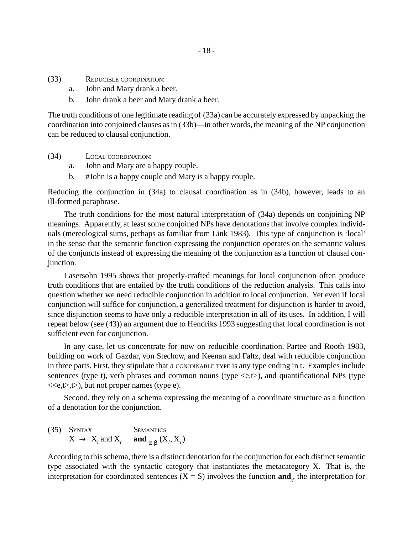- REDUCIBLE COORDINATION: (33)
	- a. John and Mary drank a beer.
	- b. John drank a beer and Mary drank a beer.

The truth conditions of one legitimate reading of (33a) can be accurately expressed by unpacking the coordination into conjoined clauses as in (33b)—in other words, the meaning of the NP conjunction can be reduced to clausal conjunction.

- LOCAL COORDINATION: (34)
	- a. John and Mary are a happy couple.
	- b. #John is a happy couple and Mary is a happy couple.

Reducing the conjunction in (34a) to clausal coordination as in (34b), however, leads to an ill-formed paraphrase.

The truth conditions for the most natural interpretation of (34a) depends on conjoining NP meanings. Apparently, at least some conjoined NPs have denotations that involve complex individuals (mereological sums, perhaps as familiar from Link 1983). This type of conjunction is 'local' in the sense that the semantic function expressing the conjunction operates on the semantic values of the conjuncts instead of expressing the meaning of the conjunction as a function of clausal conjunction.

Lasersohn 1995 shows that properly-crafted meanings for local conjunction often produce truth conditions that are entailed by the truth conditions of the reduction analysis. This calls into question whether we need reducible conjunction in addition to local conjunction. Yet even if local conjunction will suffice for conjunction, a generalized treatment for disjunction is harder to avoid, since disjunction seems to have only a reducible interpretation in all of its uses. In addition, I will repeat below (see (43)) an argument due to Hendriks 1993 suggesting that local coordination is not sufficient even for conjunction.

In any case, let us concentrate for now on reducible coordination. Partee and Rooth 1983, building on work of Gazdar, von Stechow, and Keenan and Faltz, deal with reducible conjunction in three parts. First, they stipulate that a CONJOINABLE TYPE is any type ending in t. Examplesinclude sentences (type t), verb phrases and common nouns (type  $\langle e,t \rangle$ ), and quantificational NPs (type  $\langle \langle e,t \rangle, t \rangle$ , but not proper names (type e).

Second, they rely on a schema expressing the meaning of a coordinate structure as a function of a denotation for the conjunction.

SYNTAX SEMANTICS  $X \rightarrow X_l$  and  $X_r$  and  $\langle \alpha, \beta \rangle$   $(X_l, X_r)$ (35)

According to this schema, there is a distinct denotation for the conjunction for each distinct semantic type associated with the syntactic category that instantiates the metacategory X. That is, the interpretation for coordinated sentences  $(X = S)$  involves the function **and**<sub>t</sub>, the interpretation for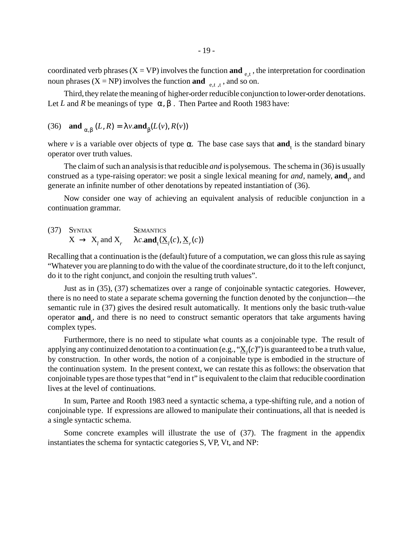coordinated verb phrases ( $X = VP$ ) involves the function **and**  $_{(e,t)}$ , the interpretation for coordination noun phrases  $(X = NP)$  involves the function **and**  $\langle e, t \rangle, t \rangle$ , and so on.

Third, they relate the meaning of higher-order reducible conjunction to lower-order denotations. Let *L* and *R* be meanings of type  $\langle \alpha, \beta \rangle$ . Then Partee and Rooth 1983 have:

(36) and 
$$
\mathbf{and}_{\langle\alpha,\beta\rangle}(L,R) = \lambda v.\mathbf{and}_{\beta}(L(v), R(v))
$$

where *v* is a variable over objects of type  $\alpha$ . The base case says that **and**<sub>t</sub> is the standard binary operator over truth values.

The claim of such an analysis is that reducible *and* is polysemous. The schema in (36) is usually construed as a type-raising operator: we posit a single lexical meaning for *and*, namely, **and**<sub>t</sub>, and generate an infinite number of other denotations by repeated instantiation of (36).

Now consider one way of achieving an equivalent analysis of reducible conjunction in a continuation grammar.

(37) SYNTAX **SEMANTICS**  

$$
X \rightarrow X_l \text{ and } X_r \quad \lambda c.\text{and}_t(\underline{X}_l(c), \underline{X}_r(c))
$$

Recalling that a continuation is the (default) future of a computation, we can gloss this rule as saying "Whatever you are planning to do with the value of the coordinate structure, do it to the left conjunct, do it to the right conjunct, and conjoin the resulting truth values".

Just as in (35), (37) schematizes over a range of conjoinable syntactic categories. However, there is no need to state a separate schema governing the function denoted by the conjunction—the semantic rule in (37) gives the desired result automatically. It mentions only the basic truth-value operator **and***<sup>t</sup>* , and there is no need to construct semantic operators that take arguments having complex types.

Furthermore, there is no need to stipulate what counts as a conjoinable type. The result of applying any continuized denotation to a continuation (e.g., " $\underline{X}_l(c)$ ") is guaranteed to be a truth value, by construction. In other words, the notion of a conjoinable type is embodied in the structure of the continuation system. In the present context, we can restate this as follows: the observation that conjoinable types are those types that "end in t" is equivalent to the claim that reducible coordination lives at the level of continuations.

In sum, Partee and Rooth 1983 need a syntactic schema, a type-shifting rule, and a notion of conjoinable type. If expressions are allowed to manipulate their continuations, all that is needed is a single syntactic schema.

Some concrete examples will illustrate the use of (37). The fragment in the appendix instantiates the schema for syntactic categories S, VP, Vt, and NP: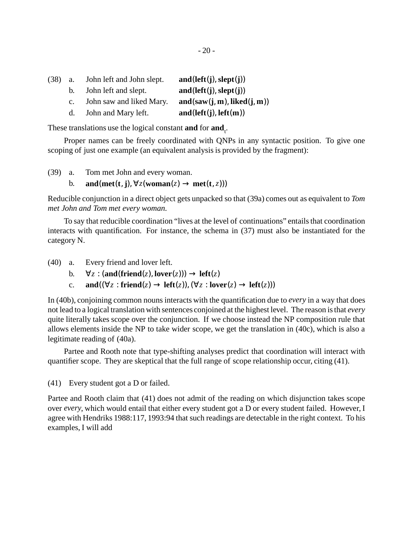| $(38)$ a. |           | John left and John slept. | and(left(j), slept(j))      |
|-----------|-----------|---------------------------|-----------------------------|
|           |           | b. John left and slept.   | and(left(j), slept(j))      |
|           | $c_{\rm}$ | John saw and liked Mary.  | and(saw(j, m), liked(j, m)) |
|           |           | d. John and Mary left.    | and(left(j), left(m))       |

These translations use the logical constant **and** for **and**<sub>t</sub>.

Proper names can be freely coordinated with QNPs in any syntactic position. To give one scoping of just one example (an equivalent analysis is provided by the fragment):

Tom met John and every woman.  $(39)$  a.

b. **and**(**met**(**t**, **j**),  $\forall z$ (**woman**(*z*)  $\rightarrow$  **met**(**t**, *z*)))

Reducible conjunction in a direct object gets unpacked so that (39a) comes out as equivalent to *Tom met John and Tom met every woman*.

To say that reducible coordination "lives at the level of continuations" entails that coordination interacts with quantification. For instance, the schema in (37) must also be instantiated for the category N.

Every friend and lover left.  $(40)$  a.

- b.  $\forall z : (\text{and}(\text{friend}(z), \text{lower}(z))) \rightarrow \text{left}(z)$
- c. **and**( $(\forall z : \textbf{friend}(z) \rightarrow \textbf{left}(z))$ ,  $(\forall z : \textbf{lower}(z) \rightarrow \textbf{left}(z)))$

In (40b), conjoining common nouns interacts with the quantification due to *every* in a way that does not lead to a logical translation with sentences conjoined at the highest level. The reason isthat *every* quite literally takes scope over the conjunction. If we choose instead the NP composition rule that allows elements inside the NP to take wider scope, we get the translation in (40c), which is also a legitimate reading of (40a).

Partee and Rooth note that type-shifting analyses predict that coordination will interact with quantifier scope. They are skeptical that the full range of scope relationship occur, citing (41).

(41) Every student got a D or failed.

Partee and Rooth claim that (41) does not admit of the reading on which disjunction takes scope over *every*, which would entail that either every student got a D or every student failed. However, I agree with Hendriks 1988:117, 1993:94 that such readings are detectable in the right context. To his examples, I will add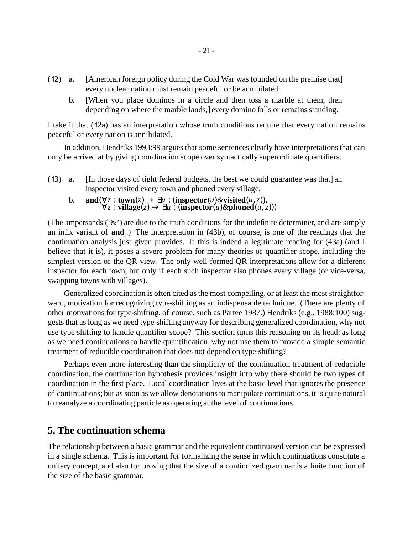- [American foreign policy during the Cold War was founded on the premise that] every nuclear nation must remain peaceful or be annihilated.  $(42)$  a.
	- b. [When you place dominos in a circle and then toss a marble at them, then depending on where the marble lands,] every domino falls or remains standing.

I take it that (42a) has an interpretation whose truth conditions require that every nation remains peaceful or every nation is annihilated.

In addition, Hendriks 1993:99 argues that some sentences clearly have interpretationsthat can only be arrived at by giving coordination scope over syntactically superordinate quantifiers.

- [In those days of tight federal budgets, the best we could guarantee was that] an inspector visited every town and phoned every village.  $(43)$  a.
	- b. **and**( $\forall z : \mathbf{town}(z) \rightarrow \exists u : (\mathbf{inspector}(u) \& \mathbf{visited}(u, z)),$ ∀*z* : **village**(*z*) → ∃*u* : (**inspector**(*u*)*&***phoned**(*u*, *z*)))

(The ampersands  $({\cal X})$ ) are due to the truth conditions for the indefinite determiner, and are simply an infix variant of  $\text{and}_{t}$ ) The interpretation in (43b), of course, is one of the readings that the continuation analysis just given provides. If this is indeed a legitimate reading for (43a) (and I believe that it is), it poses a severe problem for many theories of quantifier scope, including the simplest version of the QR view. The only well-formed QR interpretations allow for a different inspector for each town, but only if each such inspector also phones every village (or vice-versa, swapping towns with villages).

Generalized coordination is often cited asthe most compelling, or at least the most straightforward, motivation for recognizing type-shifting as an indispensable technique. (There are plenty of other motivations for type-shifting, of course, such as Partee 1987.) Hendriks (e.g., 1988:100) suggests that as long as we need type-shifting anyway for describing generalized coordination, why not use type-shifting to handle quantifier scope? This section turns this reasoning on its head: as long as we need continuations to handle quantification, why not use them to provide a simple semantic treatment of reducible coordination that does not depend on type-shifting?

Perhaps even more interesting than the simplicity of the continuation treatment of reducible coordination, the continuation hypothesis provides insight into why there should be two types of coordination in the first place. Local coordination lives at the basic level that ignores the presence of continuations; but assoon as we allow denotationsto manipulate continuations, it is quite natural to reanalyze a coordinating particle as operating at the level of continuations.

## **5. The continuation schema**

The relationship between a basic grammar and the equivalent continuized version can be expressed in a single schema. This is important for formalizing the sense in which continuations constitute a unitary concept, and also for proving that the size of a continuized grammar is a finite function of the size of the basic grammar.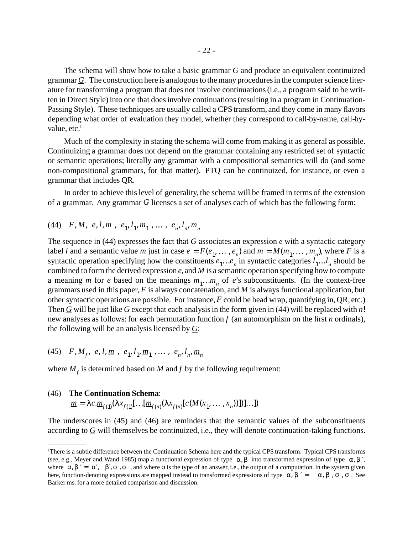The schema will show how to take a basic grammar *G* and produce an equivalent continuized grammar  $\mathcal G$ . The construction here is analogous to the many procedures in the computer science literature for transforming a program that does not involve continuations(i.e., a program said to be written in Direct Style) into one that does involve continuations (resulting in a program in Continuation-Passing Style). These techniques are usually called a CPS transform, and they come in many flavors depending what order of evaluation they model, whether they correspond to call-by-name, call-byvalue,  $etc.<sup>1</sup>$ 

Much of the complexity in stating the schema will come from making it as general as possible. Continuizing a grammar does not depend on the grammar containing any restricted set of syntactic or semantic operations; literally any grammar with a compositional semantics will do (and some non-compositional grammars, for that matter). PTQ can be continuized, for instance, or even a grammar that includes QR.

In order to achieve this level of generality, the schema will be framed in terms of the extension of a grammar. Any grammar *G* licenses a set of analyses each of which has the following form:

$$
(44) \quad F, M, \langle e, l, m \rangle, \langle e_1, l_1, m_1 \rangle, \dots, \langle e_n, l_n, m_n \rangle
$$

The sequence in (44) expresses the fact that *G* associates an expression *e* with a syntactic category label *l* and a semantic value *m* just in case  $e = F(e_1, \dots, e_n)$  and  $m = M(m_1, \dots, m_n)$ , where *F* is a syntactic operation specifying how the constituents  $e_1...e_n$  in syntactic categories  $l_1...l_n$  should be combined to form the derived expression *e*, and *M* is a semantic operation specifying how to compute a meaning *m* for *e* based on the meanings  $m_1...m_n$  of *e*'s subconstituents. (In the context-free grammars used in this paper, *F* is always concatenation, and *M* is always functional application, but other syntactic operations are possible. For instance,*F* could be head wrap, quantifying in, QR, etc.) Then *G* will be just like *G* except that each analysisin the form given in (44) will be replaced with *n*! new analyses as follows: for each permutation function *f* (an automorphism on the first *n* ordinals), the following will be an analysis licensed by *G*:

$$
(45) \quad F, M_f, \langle e, l, \underline{m} \rangle, \langle e_1, l_1, \underline{m}_1 \rangle, \dots, \langle e_n, l_n, \underline{m}_n \rangle
$$

where  $M_f$  is determined based on *M* and *f* by the following requirement:

#### **The Continuation Schema**: (46)

$$
\underline{m} = \lambda c. \underline{m}_{f(1)}(\lambda x_{f(1)}[\dots[\underline{m}_{f(n)}(\lambda x_{f(n)}[c(M(x_1, \dots, x_n))]]]...])
$$

The underscores in (45) and (46) are reminders that the semantic values of the subconstituents according to *G* will themselves be continuized, i.e., they will denote continuation-taking functions.

<sup>&</sup>lt;sup>1</sup>There is a subtle difference between the Continuation Schema here and the typical CPS transform. Typical CPS transforms (see, e.g., Meyer and Wand 1985) map a functional expression of type  $\langle \alpha, \beta \rangle$  into transformed expression of type  $\langle \alpha, \beta \rangle'$ , where  $\langle \alpha, \beta \rangle' = \langle \alpha', \langle \beta', \sigma \rangle$ , and where  $\sigma$  is the type of an answer, i.e., the output of a computation. In the system given here, function-denoting expressions are mapped instead to transformed expressions of type  $\langle \alpha, \beta \rangle' = \langle \langle \langle \alpha, \beta \rangle, \sigma \rangle$ . See Barker ms. for a more detailed comparison and discussion.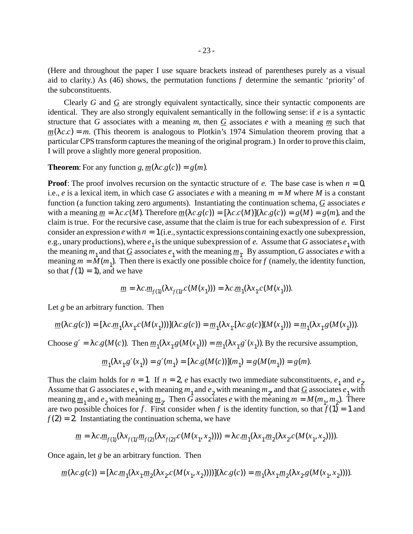(Here and throughout the paper I use square brackets instead of parentheses purely as a visual aid to clarity.) As (46) shows, the permutation functions *f* determine the semantic 'priority' of the subconstituents.

Clearly *G* and *G* are strongly equivalent syntactically, since their syntactic components are identical. They are also strongly equivalent semantically in the following sense: if *e* is a syntactic structure that *G* associates with a meaning *m*, then  $G$  associates *e* with a meaning  $m$  such that  $m(\lambda c.c) = m$ . (This theorem is analogous to Plotkin's 1974 Simulation theorem proving that a particular CPS transform captures the meaning of the original program.) In order to prove this claim, I will prove a slightly more general proposition.

#### **Theorem:** For any function *g*,  $m(\lambda c.g(c)) = g(m)$ .

**Proof**: The proof involves recursion on the syntactic structure of *e*. The base case is when  $n = 0$ , i.e., *e* is a lexical item, in which case *G* associates *e* with a meaning  $m = M$  where *M* is a constant function (a function taking zero arguments). Instantiating the continuation schema, *G* associates *e* with a meaning  $m = \lambda c.c(M)$ . Therefore  $m(\lambda c.g(c)) = [\lambda c.c(M)](\lambda c.g(c)) = g(M) = g(m)$ , and the claim istrue. For the recursive case, assume that the claim istrue for each subexpression of *e*. First consider an expression  $e$  with  $n = 1$  (i.e., syntactic expressions containing exactly one subexpression, e.g., unary productions), where  $e_1$  is the unique subexpression of *e*. Assume that *G* associates  $e_1$  with the meaning  $m_1$  and that  $G$  associates  $e_1$  with the meaning  $m_1$ . By assumption,  $G$  associates  $e$  with a meaning  $m = M(m_1)$ . Then there is exactly one possible choice for *f* (namely, the identity function, so that  $f(1) = 1$ , and we have

$$
\underline{m} = \lambda c \cdot \underline{m}_{f(1)}(\lambda x_{f(1)} c(M(x_1))) = \lambda c \cdot \underline{m}_1(\lambda x_1 c(M(x_1))).
$$

Let *g* be an arbitrary function. Then

$$
\underline{m}(\lambda c.g(c))=[\lambda c.\underline{m}_1(\lambda x_1.c(M(x_1)))](\lambda c.g(c))=\underline{m}_1(\lambda x_1.[\lambda c.g(c)](M(x_1)))=\underline{m}_1(\lambda x_1.g(M(x_1))).
$$

Choose  $g' = \lambda c.g(M(c))$ . Then  $\underline{m}_1(\lambda x_1 g(M(x_1))) = \underline{m}_1(\lambda x_1 g'(x_1))$ . By the recursive assumption,

$$
\underline{m}_1(\lambda x_1 \cdot g'(x_1)) = g'(m_1) = [\lambda c. g(M(c))](m_1) = g(M(m_1)) = g(m).
$$

Thus the claim holds for  $n = 1$ . If  $n = 2$ , *e* has exactly two immediate subconstituents,  $e_1$  and  $e_2$ . Assume that *G* associates  $e_1$  with meaning  $m_1$  and  $e_2$  with meaning  $m_2$ , and that  $G$  associates  $e_1$  with meaning  $\underline{m}_1$  and  $e_2$  with meaning  $\underline{m}_2$ . Then *G* associates *e* with the meaning  $m = M(m_1, m_2)$ . There are two possible choices for *f*. First consider when *f* is the identity function, so that  $f(1) = 1$  and  $f(2) = 2$ . Instantiating the continuation schema, we have

$$
\underline{m} = \lambda c.\underline{m}_{f(1)}(\lambda x_{f(1)}.\underline{m}_{f(2)}(\lambda x_{f(2)}.c(M(x_1,x_2)))) = \lambda c.\underline{m}_1(\lambda x_1.\underline{m}_2(\lambda x_2. c(M(x_1,x_2)))) .
$$

Once again, let *g* be an arbitrary function. Then

$$
\underline{m}(\lambda c.g(c)) = [\lambda c.\underline{m}_1(\lambda x_1.\underline{m}_2(\lambda x_2.c(M(x_1, x_2))))](\lambda c.g(c)) = \underline{m}_1(\lambda x_1.\underline{m}_2(\lambda x_2.g(M(x_1, x_2))))).
$$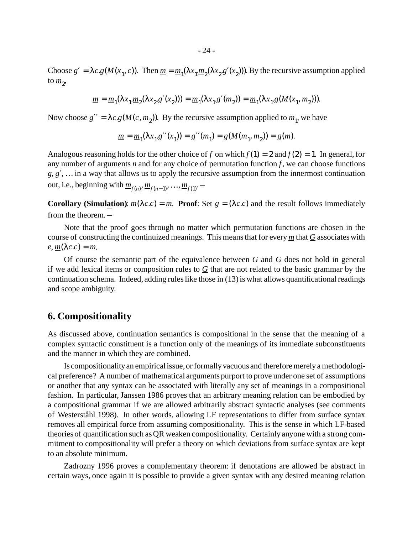Choose  $g' = \lambda c.g(M(x_1, c))$ . Then  $m = m_1(\lambda x_1 \cdot m_2(\lambda x_2 \cdot s'(x_2)))$ . By the recursive assumption applied to  $\underline{m}_2$ ,

$$
\underline{m} = \underline{m}_1(\lambda x_1 \cdot \underline{m}_2(\lambda x_2 \cdot g'(x_2))) = \underline{m}_1(\lambda x_1 \cdot g'(m_2)) = \underline{m}_1(\lambda x_1 \cdot g(M(x_1, m_2))).
$$

Now choose  $g'' = \lambda c.g(M(c, m_2))$ . By the recursive assumption applied to  $m_1$ , we have

$$
\underline{m} = \underline{m}_1(\lambda x_1 \cdot g''(x_1)) = g''(m_1) = g(M(m_1, m_2)) = g(m).
$$

Analogous reasoning holds for the other choice of *f* on which  $f(1) = 2$  and  $f(2) = 1$ . In general, for any number of arguments  $n$  and for any choice of permutation function  $f$ , we can choose functions *g*, *g*′, …in a way that allows us to apply the recursive assumption from the innermost continuation out, i.e., beginning with  $\underline{m}_{f(n)}$ ,  $\underline{m}_{f(n-1)}$ , …,  $\underline{m}_{f(1)}$ .

**Corollary** (Simulation):  $m(\lambda c.c) = m$ . **Proof**: Set  $g = (\lambda c.c)$  and the result follows immediately from the theorem.  $\Box$ 

Note that the proof goes through no matter which permutation functions are chosen in the course of constructing the continuized meanings. This meansthat for every *m* that *G* associates with  $e, m(\lambda c.c) = m.$ 

Of course the semantic part of the equivalence between *G* and *G* does not hold in general if we add lexical items or composition rules to  $G$  that are not related to the basic grammar by the continuation schema. Indeed, adding rules like those in  $(13)$  is what allows quantificational readings and scope ambiguity.

## **6. Compositionality**

As discussed above, continuation semantics is compositional in the sense that the meaning of a complex syntactic constituent is a function only of the meanings of its immediate subconstituents and the manner in which they are combined.

Is compositionality an empirical issue, or formally vacuous and therefore merely a methodological preference? A number of mathematical arguments purport to prove under one set of assumptions or another that any syntax can be associated with literally any set of meanings in a compositional fashion. In particular, Janssen 1986 proves that an arbitrary meaning relation can be embodied by a compositional grammar if we are allowed arbitrarily abstract syntactic analyses (see comments of Westerståhl 1998). In other words, allowing LF representations to differ from surface syntax removes all empirical force from assuming compositionality. This is the sense in which LF-based theories of quantification such as QR weaken compositionality. Certainly anyone with a strong commitment to compositionality will prefer a theory on which deviations from surface syntax are kept to an absolute minimum.

Zadrozny 1996 proves a complementary theorem: if denotations are allowed be abstract in certain ways, once again it is possible to provide a given syntax with any desired meaning relation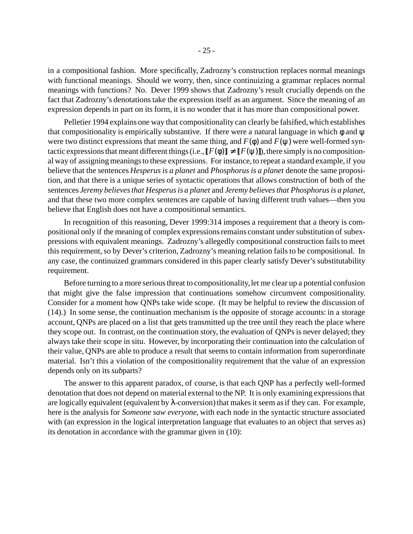in a compositional fashion. More specifically, Zadrozny's construction replaces normal meanings with functional meanings. Should we worry, then, since continuizing a grammar replaces normal meanings with functions? No. Dever 1999 shows that Zadrozny's result crucially depends on the fact that Zadrozny's denotations take the expression itself as an argument. Since the meaning of an expression depends in part on its form, it is no wonder that it has more than compositional power.

Pelletier 1994 explains one way that compositionality can clearly be falsified, which establishes that compositionality is empirically substantive. If there were a natural language in which  $\phi$  and  $\psi$ were two distinct expressions that meant the same thing, and  $F(\phi)$  and  $F(\psi)$  were well-formed syntactic expressions that meant different things (i.e.,  $\llbracket F(\phi) \rrbracket \neq \llbracket F(\psi) \rrbracket$ ), there simply is no compositional way of assigning meanings to these expressions. For instance, to repeat a standard example, if you believe that the sentences *Hesperusis a planet* and *Phosphorus is a planet* denote the same proposition, and that there is a unique series of syntactic operations that allows construction of both of the sentences *Jeremy believesthat Hesperusis a planet* and *Jeremy believesthat Phosphorusis a planet*, and that these two more complex sentences are capable of having different truth values—then you believe that English does not have a compositional semantics.

In recognition of this reasoning, Dever 1999:314 imposes a requirement that a theory is compositional only if the meaning of complex expressions remains constant under substitution of subexpressions with equivalent meanings. Zadrozny's allegedly compositional construction fails to meet this requirement, so by Dever's criterion, Zadrozny's meaning relation fails to be compositional. In any case, the continuized grammars considered in this paper clearly satisfy Dever's substitutability requirement.

Before turning to a more serious threat to compositionality, let me clear up a potential confusion that might give the false impression that continuations somehow circumvent compositionality. Consider for a moment how QNPs take wide scope. (It may be helpful to review the discussion of (14).) In some sense, the continuation mechanism is the opposite of storage accounts: in a storage account, QNPs are placed on a list that gets transmitted up the tree until they reach the place where they scope out. In contrast, on the continuation story, the evaluation of QNPs is never delayed; they alwaystake their scope in situ. However, by incorporating their continuation into the calculation of their value, QNPs are able to produce a result that seems to contain information from superordinate material. Isn't this a violation of the compositionality requirement that the value of an expression depends only on its *sub*parts?

The answer to this apparent paradox, of course, is that each QNP has a perfectly well-formed denotation that does not depend on material external to the NP. It is only examining expressionsthat are logically equivalent (equivalent by  $\lambda$ -conversion) that makes it seem as if they can. For example, here is the analysis for *Someone saw everyone*, with each node in the syntactic structure associated with (an expression in the logical interpretation language that evaluates to an object that serves as) its denotation in accordance with the grammar given in (10):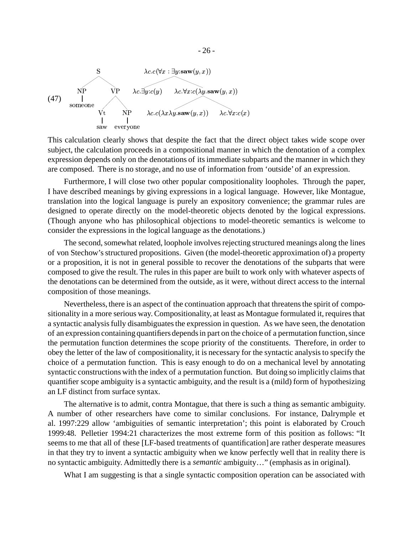

This calculation clearly shows that despite the fact that the direct object takes wide scope over subject, the calculation proceeds in a compositional manner in which the denotation of a complex expression depends only on the denotations of itsimmediate subparts and the manner in which they are composed. There is no storage, and no use of information from 'outside'of an expression.

Furthermore, I will close two other popular compositionality loopholes. Through the paper, I have described meanings by giving expressions in a logical language. However, like Montague, translation into the logical language is purely an expository convenience; the grammar rules are designed to operate directly on the model-theoretic objects denoted by the logical expressions. (Though anyone who has philosophical objections to model-theoretic semantics is welcome to consider the expressions in the logical language as the denotations.)

The second, somewhat related, loophole involves rejecting structured meanings along the lines of von Stechow'sstructured propositions. Given (the model-theoretic approximation of) a property or a proposition, it is not in general possible to recover the denotations of the subparts that were composed to give the result. The rules in this paper are built to work only with whatever aspects of the denotations can be determined from the outside, as it were, without direct access to the internal composition of those meanings.

Nevertheless, there is an aspect of the continuation approach that threatensthe spirit of compositionality in a more serious way. Compositionality, at least as Montague formulated it, requires that a syntactic analysis fully disambiguates the expression in question. As we have seen, the denotation of an expression containing quantifiers depends in part on the choice of a permutation function, since the permutation function determines the scope priority of the constituents. Therefore, in order to obey the letter of the law of compositionality, it is necessary for the syntactic analysisto specify the choice of a permutation function. This is easy enough to do on a mechanical level by annotating syntactic constructions with the index of a permutation function. But doing so implicitly claims that quantifier scope ambiguity is a syntactic ambiguity, and the result is a (mild) form of hypothesizing an LF distinct from surface syntax.

The alternative is to admit, contra Montague, that there is such a thing as semantic ambiguity. A number of other researchers have come to similar conclusions. For instance, Dalrymple et al. 1997:229 allow 'ambiguities of semantic interpretation'; this point is elaborated by Crouch 1999:48. Pelletier 1994:21 characterizes the most extreme form of this position as follows: "It seems to me that all of these [LF-based treatments of quantification] are rather desperate measures in that they try to invent a syntactic ambiguity when we know perfectly well that in reality there is no syntactic ambiguity. Admittedly there is a *semantic* ambiguity…" (emphasis as in original).

What I am suggesting is that a single syntactic composition operation can be associated with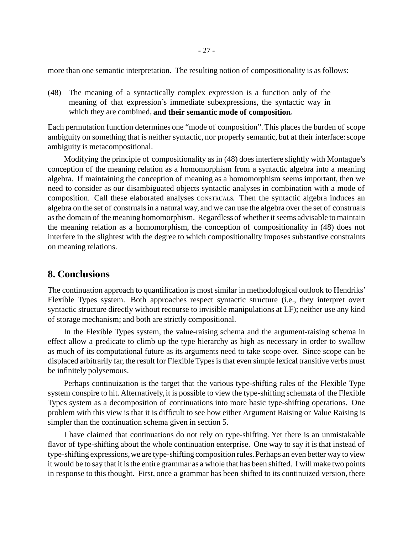more than one semantic interpretation. The resulting notion of compositionality is as follows:

The meaning of a syntactically complex expression is a function only of the (48) meaning of that expression's immediate subexpressions, the syntactic way in which they are combined, **and their semantic mode of composition**.

Each permutation function determines one "mode of composition". This places the burden of scope ambiguity on something that is neither syntactic, nor properly semantic, but at their interface: scope ambiguity is metacompositional.

Modifying the principle of compositionality as in (48) does interfere slightly with Montague's conception of the meaning relation as a homomorphism from a syntactic algebra into a meaning algebra. If maintaining the conception of meaning as a homomorphism seems important, then we need to consider as our disambiguated objects syntactic analyses in combination with a mode of composition. Call these elaborated analyses CONSTRUALS. Then the syntactic algebra induces an algebra on the set of construalsin a natural way, and we can use the algebra over the set of construals as the domain of the meaning homomorphism. Regardless of whether it seems advisable to maintain the meaning relation as a homomorphism, the conception of compositionality in (48) does not interfere in the slightest with the degree to which compositionality imposes substantive constraints on meaning relations.

## **8. Conclusions**

The continuation approach to quantification is most similar in methodological outlook to Hendriks' Flexible Types system. Both approaches respect syntactic structure (i.e., they interpret overt syntactic structure directly without recourse to invisible manipulations at LF); neither use any kind of storage mechanism; and both are strictly compositional.

In the Flexible Types system, the value-raising schema and the argument-raising schema in effect allow a predicate to climb up the type hierarchy as high as necessary in order to swallow as much of its computational future as its arguments need to take scope over. Since scope can be displaced arbitrarily far, the result for Flexible Types is that even simple lexical transitive verbs must be infinitely polysemous.

Perhaps continuization is the target that the various type-shifting rules of the Flexible Type system conspire to hit. Alternatively, it is possible to view the type-shifting schemata of the Flexible Types system as a decomposition of continuations into more basic type-shifting operations. One problem with this view is that it is difficult to see how either Argument Raising or Value Raising is simpler than the continuation schema given in section 5.

I have claimed that continuations do not rely on type-shifting. Yet there is an unmistakable flavor of type-shifting about the whole continuation enterprise. One way to say it is that instead of type-shifting expressions, we are type-shifting composition rules. Perhaps an even better way to view it would be to say that it isthe entire grammar as a whole that has been shifted. I will make two points in response to this thought. First, once a grammar has been shifted to its continuized version, there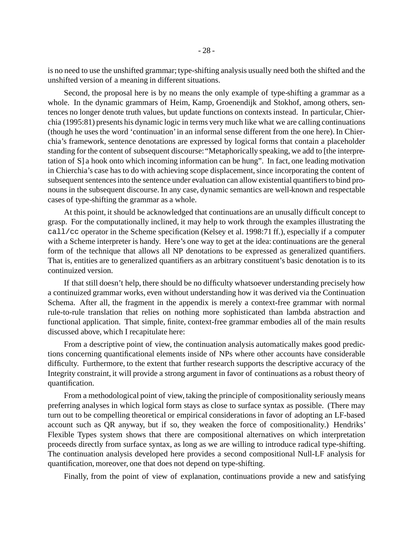is no need to use the unshifted grammar; type-shifting analysis usually need both the shifted and the unshifted version of a meaning in different situations.

Second, the proposal here is by no means the only example of type-shifting a grammar as a whole. In the dynamic grammars of Heim, Kamp, Groenendijk and Stokhof, among others, sentences no longer denote truth values, but update functions on contexts instead. In particular, Chierchia (1995:81) presents his dynamic logic in terms very much like what we are calling continuations (though he uses the word 'continuation'in an informal sense different from the one here). In Chierchia's framework, sentence denotations are expressed by logical forms that contain a placeholder standing for the content of subsequent discourse: "Metaphorically speaking, we add to [the interpretation of S] a hook onto which incoming information can be hung". In fact, one leading motivation in Chierchia's case has to do with achieving scope displacement, since incorporating the content of subsequent sentences into the sentence under evaluation can allow existential quantifiers to bind pronouns in the subsequent discourse. In any case, dynamic semantics are well-known and respectable cases of type-shifting the grammar as a whole.

At this point, it should be acknowledged that continuations are an unusally difficult concept to grasp. For the computationally inclined, it may help to work through the examples illustrating the call/cc operator in the Scheme specification (Kelsey et al. 1998:71 ff.), especially if a computer with a Scheme interpreter is handy. Here's one way to get at the idea: continuations are the general form of the technique that allows all NP denotations to be expressed as generalized quantifiers. That is, entities are to generalized quantifiers as an arbitrary constituent's basic denotation is to its continuized version.

If that still doesn't help, there should be no difficulty whatsoever understanding precisely how a continuized grammar works, even without understanding how it was derived via the Continuation Schema. After all, the fragment in the appendix is merely a context-free grammar with normal rule-to-rule translation that relies on nothing more sophisticated than lambda abstraction and functional application. That simple, finite, context-free grammar embodies all of the main results discussed above, which I recapitulate here:

From a descriptive point of view, the continuation analysis automatically makes good predictions concerning quantificational elements inside of NPs where other accounts have considerable difficulty. Furthermore, to the extent that further research supports the descriptive accuracy of the Integrity constraint, it will provide a strong argument in favor of continuations as a robust theory of quantification.

From a methodological point of view, taking the principle of compositionality seriously means preferring analyses in which logical form stays as close to surface syntax as possible. (There may turn out to be compelling theoretical or empirical considerations in favor of adopting an LF-based account such as QR anyway, but if so, they weaken the force of compositionality.) Hendriks' Flexible Types system shows that there are compositional alternatives on which interpretation proceeds directly from surface syntax, as long as we are willing to introduce radical type-shifting. The continuation analysis developed here provides a second compositional Null-LF analysis for quantification, moreover, one that does not depend on type-shifting.

Finally, from the point of view of explanation, continuations provide a new and satisfying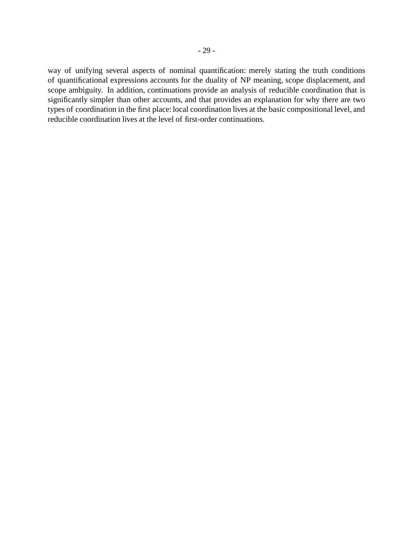way of unifying several aspects of nominal quantification: merely stating the truth conditions of quantificational expressions accounts for the duality of NP meaning, scope displacement, and scope ambiguity. In addition, continuations provide an analysis of reducible coordination that is significantly simpler than other accounts, and that provides an explanation for why there are two types of coordination in the first place: local coordination lives at the basic compositional level, and reducible coordination lives at the level of first-order continuations.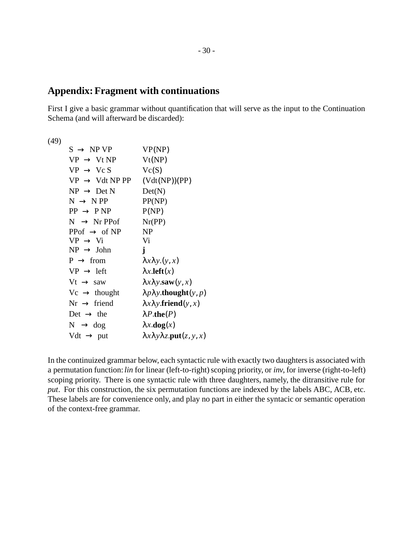# **Appendix:Fragment with continuations**

First I give a basic grammar without quantification that will serve as the input to the Continuation Schema (and will afterward be discarded):

(49)

| $S \rightarrow NP VP$      | VP(NP)                                            |
|----------------------------|---------------------------------------------------|
| $VP \rightarrow Vt NP$     | Vt(NP)                                            |
| $VP \rightarrow VcS$       | Vc(S)                                             |
| $VP \rightarrow Vdt NP PP$ | (Vdt(NP))(PP)                                     |
| $NP \rightarrow Det N$     | Det(N)                                            |
| $N \rightarrow NPP$        | PP(NP)                                            |
| $PP \rightarrow PNP$       | P(NP)                                             |
| $N \rightarrow Nr$ PPof    | Nr(PP)                                            |
| PPof $\rightarrow$ of NP   | <b>NP</b>                                         |
| $VP \rightarrow Vi$        | Vi                                                |
| $NP \rightarrow John$      | j                                                 |
| $P \rightarrow from$       | $\lambda x \lambda y.(y, x)$                      |
| $VP \rightarrow left$      | $\lambda x$ . left $(x)$                          |
| $Vt \rightarrow saw$       | $\lambda x \lambda y$ <b>saw</b> $(y, x)$         |
| $Vc \rightarrow$ thought   | $\lambda p \lambda y$ thought $(y, p)$            |
| $Nr \rightarrow friend$    | $\lambda x \lambda y$ . friend $(y, x)$           |
| Det $\rightarrow$ the      | $\lambda P$ .the(P)                               |
| $N \rightarrow dog$        | $\lambda x \cdot \mathbf{dog}(x)$                 |
| Vdt $\rightarrow$ put      | $\lambda x \lambda y \lambda z$ . put $(z, y, x)$ |

In the continuized grammar below, each syntactic rule with exactly two daughters is associated with a permutation function: *lin* for linear (left-to-right) scoping priority, or *inv*, for inverse (right-to-left) scoping priority. There is one syntactic rule with three daughters, namely, the ditransitive rule for *put*. For this construction, the six permutation functions are indexed by the labels ABC, ACB, etc. These labels are for convenience only, and play no part in either the syntacic or semantic operation of the context-free grammar.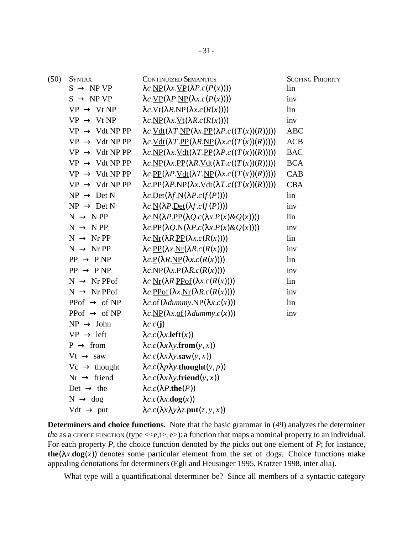| (50) | <b>SYNTAX</b>              | <b>CONTINUIZED SEMANTICS</b>                                                                                                                                      | <b>SCOPING PRIORITY</b> |
|------|----------------------------|-------------------------------------------------------------------------------------------------------------------------------------------------------------------|-------------------------|
|      | $S \rightarrow NP VP$      | $\lambda c.\underline{NP}(\lambda x.\underline{VP}(\lambda P.c(P(x))))$                                                                                           | lin                     |
|      | $S \rightarrow NP VP$      | $\lambda c.\underline{VP}(\lambda P.\underline{NP}(\lambda x.c(P(x))))$                                                                                           | inv                     |
|      | $VP \rightarrow Vt NP$     | $\lambda c.\underline{Vt}(\lambda R.\underline{NP}(\lambda x.c(R(x))))$                                                                                           | lin                     |
|      | $VP \rightarrow Vt NP$     | $\lambda c.\underline{NP}(\lambda x.\underline{Vt}(\lambda R.c(R(x))))$                                                                                           | inv                     |
|      | $VP \rightarrow Vdt NP PP$ | $\lambda c.\underline{Vdt}(\lambda T.\underline{NP}(\lambda x.\underline{PP}(\lambda P.c((T(x))(R))))))$                                                          | <b>ABC</b>              |
|      | $VP \rightarrow Vdt NP PP$ | $\lambda c.\underline{Vdt}(\lambda T.\underline{PP}(\lambda R.\underline{NP}(\lambda x.c((T(x))(R))))))$                                                          | ACB                     |
|      | $VP \rightarrow Vdt NP PP$ | $\lambda c.\underline{NP}(\lambda x.\underline{Vdt}(\lambda T.\underline{PP}(\lambda P.c((T(x))(R))))))$                                                          | <b>BAC</b>              |
|      | $VP \rightarrow Vdt NP PP$ | $\lambda c.\underline{NP}(\lambda x.\underline{PP}(\lambda R.\underline{Vdt}(\lambda T.c((T(x))(R))))))$                                                          | <b>BCA</b>              |
|      | $VP \rightarrow Vdt NP PP$ | $\lambda c.\underline{PP}(\lambda P.\underline{Vdt}(\lambda T.\underline{NP}(\lambda x.c((T(x))(R))))))$                                                          | <b>CAB</b>              |
|      | $VP \rightarrow Vdt NP PP$ | $\lambda c.\underline{PP}(\lambda P.\underline{NP}(\lambda x.\underline{Vdt}(\lambda T.c((T(x))(R))))))$                                                          | <b>CBA</b>              |
|      | $NP \rightarrow Det N$     | $\lambda c.$ Det( $\lambda f.$ N( $\lambda P.$ <i>c</i> ( $f(P)$ )))                                                                                              | lin                     |
|      | $NP \rightarrow Det N$     | $\lambda c. N(\lambda P. Det(\lambda f. c(f(P))))$                                                                                                                | inv                     |
|      | $N \rightarrow NPP$        | $\lambda c. N(\lambda P.PP(\lambda Q.c(\lambda x.P(x)\&Q(x))))$                                                                                                   | lin                     |
|      | $N \rightarrow NPP$        | $\lambda c.\underline{PP}(\lambda Q.\underline{N}(\lambda P.c(\lambda x.P(x)\&Q(x))))$                                                                            | inv                     |
|      | $N \rightarrow Nr PP$      | $\lambda c.\underline{\text{Nr}}(\lambda R.\underline{\text{PP}}(\lambda x.c(R(x))))$                                                                             | lin                     |
|      | $N \rightarrow Nr PP$      | $\lambda c.\underline{PP}(\lambda x.\underline{Nr}(\lambda R.c(R(x))))$                                                                                           | inv                     |
|      | $PP \rightarrow P NP$      | $\lambda c \cdot P(\lambda R \cdot NP(\lambda x. c(R(x))))$                                                                                                       | lin                     |
|      | $PP \rightarrow PNP$       | $\lambda c.\underline{NP}(\lambda x.\underline{P}(\lambda R.c(R(x))))$                                                                                            | inv                     |
|      | $N \rightarrow Nr$ PPof    | $\lambda c.\underline{\text{Nr}}(\lambda R.\underline{\text{PPof}}(\lambda x.c(R(x))))$                                                                           | lin                     |
|      | $N \rightarrow Nr$ PPof    | $\lambda c.\underline{PPof}(\lambda x.\underline{Nr}(\lambda R.c(R(x))))$                                                                                         | inv                     |
|      | PPof $\rightarrow$ of NP   | $\lambda c. \underline{\mathrm{of}}(\lambda \underline{\mathrm{d} \mathrm{u} \mathrm{m} \mathrm{m} \mathrm{y}.\underline{\mathrm{NP}}(\lambda x. \mathrm{c}(x)))$ | lin                     |
|      | PPof $\rightarrow$ of NP   | $\lambda c.\underline{NP}(\lambda x.\underline{of}(\lambda dummy.c(x)))$                                                                                          | inv                     |
|      | $NP \rightarrow John$      | $\lambda c.c(j)$                                                                                                                                                  |                         |
|      | $VP \rightarrow left$      | $\lambda c.c(\lambda x.$ <b>left</b> $(x)$ )                                                                                                                      |                         |
|      | $P \rightarrow from$       | $\lambda c.c(\lambda x \lambda y \cdot \textbf{from}(y, x))$                                                                                                      |                         |
|      | $Vt \rightarrow saw$       | $\lambda c.c(\lambda x \lambda y.\mathbf{saw}(y, x))$                                                                                                             |                         |
|      | $Vc \rightarrow$ thought   | $\lambda c.c(\lambda p\lambda y.$ thought $(y, p)$                                                                                                                |                         |
|      | $Nr \rightarrow friend$    | $\lambda c.c(\lambda x \lambda y \text{.friend}(y, x))$                                                                                                           |                         |
|      | Det $\rightarrow$ the      | $\lambda c.c(\lambda P.\mathbf{the}(P))$                                                                                                                          |                         |
|      | $N \rightarrow dog$        | $\lambda c.c(\lambda x.\textbf{dog}(x))$                                                                                                                          |                         |
|      | Vdt $\rightarrow$ put      | $\lambda c.c(\lambda x \lambda y \lambda z.\text{put}(z, y, x))$                                                                                                  |                         |

**Determiners and choice functions.** Note that the basic grammar in (49) analyzes the determiner *the* as a CHOICE FUNCTION (type  $\langle \langle e, t \rangle, e \rangle$ ): a function that maps a nominal property to an individual. For each property *P*, the choice function denoted by *the* picks out one element of *P*; for instance, **the**( $\lambda x \cdot \textbf{dog}(x)$ ) denotes some particular element from the set of dogs. Choice functions make appealing denotations for determiners(Egli and Heusinger 1995, Kratzer 1998, inter alia).

What type will a quantificational determiner be? Since all members of a syntactic category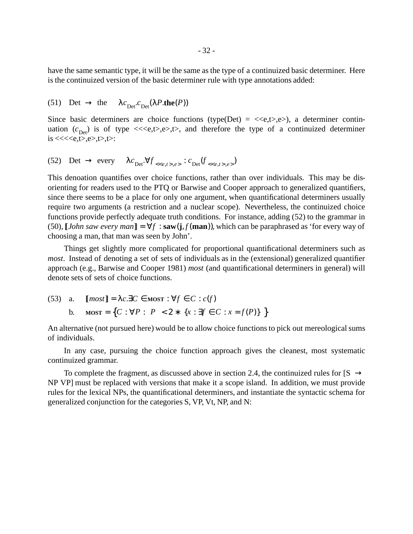have the same semantic type, it will be the same asthe type of a continuized basic determiner. Here is the continuized version of the basic determiner rule with type annotations added:

(51) Det  $\rightarrow$  the  $\lambda c_{\text{Det}}^{\lambda}$ . $c_{\text{Det}}^{\lambda}(\lambda P \cdot \text{the}(P))$ 

Since basic determiners are choice functions (type(Det) =  $\langle e, t \rangle, e \rangle$ ), a determiner continuation  $(c_{\text{Det}})$  is of type  $\ll\ll e, t>, e>, t$ , and therefore the type of a continuized determiner  $is \ll \ll \ll e, t>, e>, t>, t>.$ 

$$
(52) \quad \text{Det} \ \rightarrow \ \text{every} \quad \ \lambda c_{\text{Det}} \forall f_{\langle\langle e,t\rangle,e\rangle} : c_{\text{Det}}(f_{\langle\langle e,t\rangle,e\rangle})
$$

This denoation quantifies over choice functions, rather than over individuals. This may be disorienting for readers used to the PTQ or Barwise and Cooper approach to generalized quantifiers, since there seems to be a place for only one argument, when quantificational determiners usually require two arguments (a restriction and a nuclear scope). Nevertheless, the continuized choice functions provide perfectly adequate truth conditions. For instance, adding (52) to the grammar in (50),  $\llbracket John saw every man\rrbracket = \forall f : \textbf{ saw}(i, f(\textbf{man}))$ , which can be paraphrased as 'for every way of choosing a man, that man was seen by John'.

Things get slightly more complicated for proportional quantificational determiners such as *most*. Instead of denoting a set of sets of individuals as in the (extensional) generalized quantifier approach (e.g., Barwise and Cooper 1981) *most* (and quantificational determiners in general) will denote sets of sets of choice functions.

 $[\text{most}] = \lambda c \cdot \exists C \in \text{MOST} : \forall f \in C : c(f)$ **b. MOST** = {*C* : ∀*P* :  $|P| < 2$  \* {*x* : ∃*f* ∈ *C* : *x* = *f*(*P*)} {}  $(53)$  a.

An alternative (not pursued here) would be to allow choice functions to pick out mereological sums of individuals.

In any case, pursuing the choice function approach gives the cleanest, most systematic continuized grammar.

To complete the fragment, as discussed above in section 2.4, the continuized rules for  $[S \rightarrow \}$ NP VP] must be replaced with versions that make it a scope island. In addition, we must provide rules for the lexical NPs, the quantificational determiners, and instantiate the syntactic schema for generalized conjunction for the categories S, VP, Vt, NP, and N: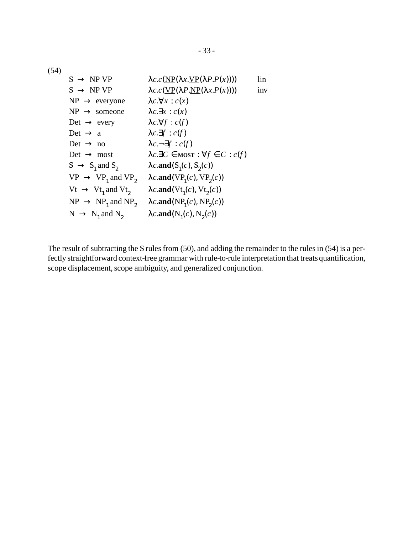(54)

| $S \rightarrow NP VP$            | $\lambda c.c(\text{NP}(\lambda x.\text{VP}(\lambda P.P(x))))$           | lin |
|----------------------------------|-------------------------------------------------------------------------|-----|
| $S \rightarrow NP VP$            | $\lambda c.c(\underline{VP}(\lambda P.\underline{NP}(\lambda x.P(x))))$ | inv |
| $NP \rightarrow$ everyone        | $\lambda c.\forall x : c(x)$                                            |     |
| $NP \rightarrow someone$         | $\lambda c.\exists x : c(x)$                                            |     |
| Det $\rightarrow$ every          | $\lambda c.\forall f : c(f)$                                            |     |
| Det $\rightarrow$ a              | $\lambda c.\exists f : c(f)$                                            |     |
| Det $\rightarrow$ no             | $\lambda c.\neg \exists f : c(f)$                                       |     |
| $Det \rightarrow most$           | $\lambda c.\exists C \in \text{MOST}: \forall f \in C: c(f)$            |     |
| $S \rightarrow S_1$ and $S_2$    | $\lambda c$ .and $(S_1(c), S_2(c))$                                     |     |
| $VP \rightarrow VP_1$ and $VP_2$ | $\lambda c$ .and(VP <sub>1</sub> (c), VP <sub>2</sub> (c))              |     |
| $Vt \rightarrow Vt_1$ and $Vt_2$ | $\lambda c$ .and(Vt <sub>1</sub> (c), Vt <sub>2</sub> (c))              |     |
| $NP \rightarrow NP_1$ and $NP_2$ | $\lambda c$ .and(NP <sub>1</sub> (c), NP <sub>2</sub> (c))              |     |
| $N \rightarrow N_1$ and $N_2$    | $\lambda c$ .and(N <sub>1</sub> (c), N <sub>2</sub> (c))                |     |

The result of subtracting the S rules from  $(50)$ , and adding the remainder to the rules in  $(54)$  is a perfectly straightforward context-free grammar with rule-to-rule interpretation that treats quantification, scope displacement, scope ambiguity, and generalized conjunction.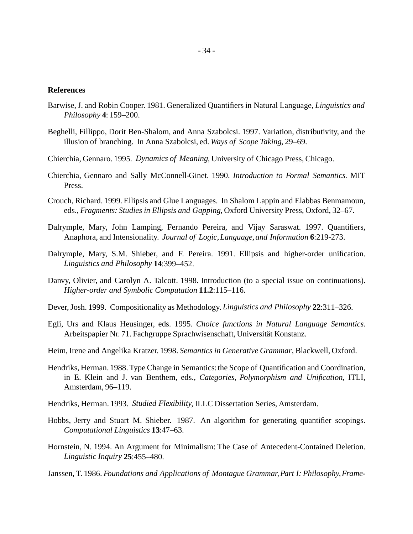#### **References**

- Barwise,J. and Robin Cooper. 1981. Generalized Quantifiers in Natural Language, *Linguistics and Philosophy* **4**: 159–200.
- Beghelli, Fillippo, Dorit Ben-Shalom, and Anna Szabolcsi. 1997. Variation, distributivity, and the illusion of branching. In Anna Szabolcsi, ed. *Ways of Scope Taking*, 29–69.
- Chierchia, Gennaro. 1995. *Dynamics of Meaning*, University of Chicago Press, Chicago.
- Chierchia, Gennaro and Sally McConnell-Ginet. 1990. *Introduction to Formal Semantics*. MIT Press.
- Crouch, Richard. 1999. Ellipsis and Glue Languages. In Shalom Lappin and Elabbas Benmamoun, eds., *Fragments: Studies in Ellipsis and Gapping*, Oxford University Press, Oxford, 32–67.
- Dalrymple, Mary, John Lamping, Fernando Pereira, and Vijay Saraswat. 1997. Quantifiers, Anaphora, and Intensionality. *Journal of Logic,Language, and Information* **6**:219-273.
- Dalrymple, Mary, S.M. Shieber, and F. Pereira. 1991. Ellipsis and higher-order unification. *Linguistics and Philosophy* **14**:399–452.
- Danvy, Olivier, and Carolyn A. Talcott. 1998. Introduction (to a special issue on continuations). *Higher-order and Symbolic Computation* **11.2**:115–116.
- Dever,Josh. 1999. Compositionality as Methodology. *Linguistics and Philosophy* **22**:311–326.
- Egli, Urs and Klaus Heusinger, eds. 1995. *Choice functions in Natural Language Semantics*. Arbeitspapier Nr. 71. Fachgruppe Sprachwisenschaft, Universität Konstanz.
- Heim, Irene and Angelika Kratzer. 1998. *Semantics in Generative Grammar*, Blackwell, Oxford.
- Hendriks, Herman. 1988. Type Change in Semantics:the Scope of Quantification and Coordination, in E. Klein and J. van Benthem, eds., *Categories, Polymorphism and Unification*, ITLI, Amsterdam, 96–119.
- Hendriks, Herman. 1993. *Studied Flexibility*, ILLC Dissertation Series, Amsterdam.
- Hobbs, Jerry and Stuart M. Shieber. 1987. An algorithm for generating quantifier scopings. *Computational Linguistics* **13**:47–63.
- Hornstein, N. 1994. An Argument for Minimalism: The Case of Antecedent-Contained Deletion. *Linguistic Inquiry* **25**:455–480.
- Janssen, T. 1986. *Foundations and Applications of Montague Grammar,Part I: Philosophy,Frame*-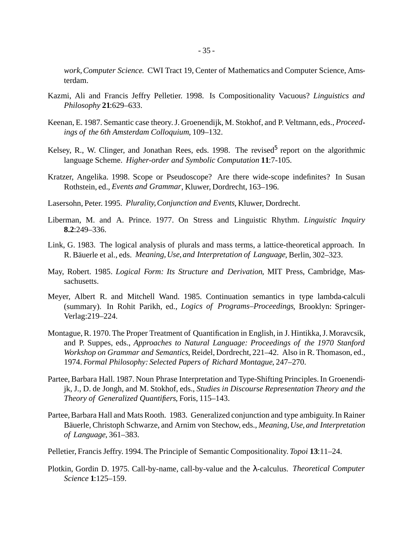*work,Computer Science*. CWI Tract 19, Center of Mathematics and Computer Science, Amsterdam.

- Kazmi, Ali and Francis Jeffry Pelletier. 1998. Is Compositionality Vacuous? *Linguistics and Philosophy* **21**:629–633.
- Keenan, E. 1987. Semantic case theory.J. Groenendijk, M. Stokhof, and P. Veltmann, eds., *Proceedings of the 6th Amsterdam Colloquium*, 109–132.
- Kelsey, R., W. Clinger, and Jonathan Rees, eds. 1998. The revised<sup>5</sup> report on the algorithmic language Scheme. *Higher-order and Symbolic Computation* **11**:7-105.
- Kratzer, Angelika. 1998. Scope or Pseudoscope? Are there wide-scope indefinites? In Susan Rothstein, ed., *Events and Grammar*, Kluwer, Dordrecht, 163–196.
- Lasersohn, Peter. 1995. *Plurality,Conjunction and Events*, Kluwer, Dordrecht.
- Liberman, M. and A. Prince. 1977. On Stress and Linguistic Rhythm. *Linguistic Inquiry* **8.2**:249–336.
- Link, G. 1983. The logical analysis of plurals and mass terms, a lattice-theoretical approach. In R. Bäuerle et al., eds. *Meaning,Use, and Interpretation of Language*, Berlin, 302–323.
- May, Robert. 1985. *Logical Form: Its Structure and Derivation*, MIT Press, Cambridge, Massachusetts.
- Meyer, Albert R. and Mitchell Wand. 1985. Continuation semantics in type lambda-calculi (summary). In Rohit Parikh, ed., *Logics of Programs–Proceedings*, Brooklyn: Springer-Verlag:219–224.
- Montague,R. 1970. The Proper Treatment of Quantification in English, in J. Hintikka,J. Moravcsik, and P. Suppes, eds., *Approaches to Natural Language: Proceedings of the 1970 Stanford Workshop on Grammar and Semantics*, Reidel, Dordrecht, 221–42. Also in R. Thomason, ed., 1974. *Formal Philosophy: Selected Papers of Richard Montague*, 247–270.
- Partee, Barbara Hall. 1987. Noun Phrase Interpretation and Type-Shifting Principles.In Groenendijk, J., D. de Jongh, and M. Stokhof, eds., *Studies in Discourse Representation Theory and the Theory of Generalized Quantifiers*, Foris, 115–143.
- Partee, Barbara Hall and Mats Rooth. 1983. Generalized conjunction and type ambiguity. In Rainer Bäuerle, Christoph Schwarze, and Arnim von Stechow, eds., *Meaning,Use, and Interpretation of Language*, 361–383.
- Pelletier, Francis Jeffry. 1994. The Principle of Semantic Compositionality. *Topoi* **13**:11–24.
- Plotkin, Gordin D. 1975. Call-by-name, call-by-value and the λ-calculus. *Theoretical Computer Science* **1**:125–159.